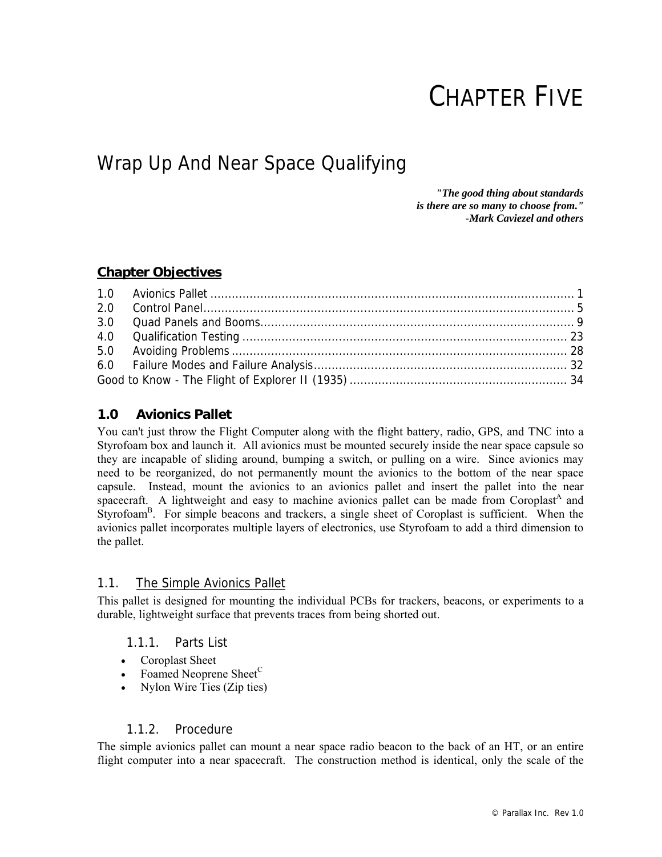# CHAPTER FIVE

## Wrap Up And Near Space Qualifying

*"The good thing about standards is there are so many to choose from." -Mark Caviezel and others* 

#### **Chapter Objectives**

#### **1.0 Avionics Pallet**

You can't just throw the Flight Computer along with the flight battery, radio, GPS, and TNC into a Styrofoam box and launch it. All avionics must be mounted securely inside the near space capsule so they are incapable of sliding around, bumping a switch, or pulling on a wire. Since avionics may need to be reorganized, do not permanently mount the avionics to the bottom of the near space capsule. Instead, mount the avionics to an avionics pallet and insert the pallet into the near spacecraft. A lightweight and easy to machine avionics pallet can be made from Coroplast<sup>A</sup> and Styrofoam<sup>B</sup>. For simple beacons and trackers, a single sheet of Coroplast is sufficient. When the avionics pallet incorporates multiple layers of electronics, use Styrofoam to add a third dimension to the pallet.

#### 1.1. The Simple Avionics Pallet

This pallet is designed for mounting the individual PCBs for trackers, beacons, or experiments to a durable, lightweight surface that prevents traces from being shorted out.

#### 1.1.1. Parts List

- Coroplast Sheet
- Foamed Neoprene Sheet<sup>C</sup>
- Nylon Wire Ties (Zip ties)

#### 1.1.2. Procedure

The simple avionics pallet can mount a near space radio beacon to the back of an HT, or an entire flight computer into a near spacecraft. The construction method is identical, only the scale of the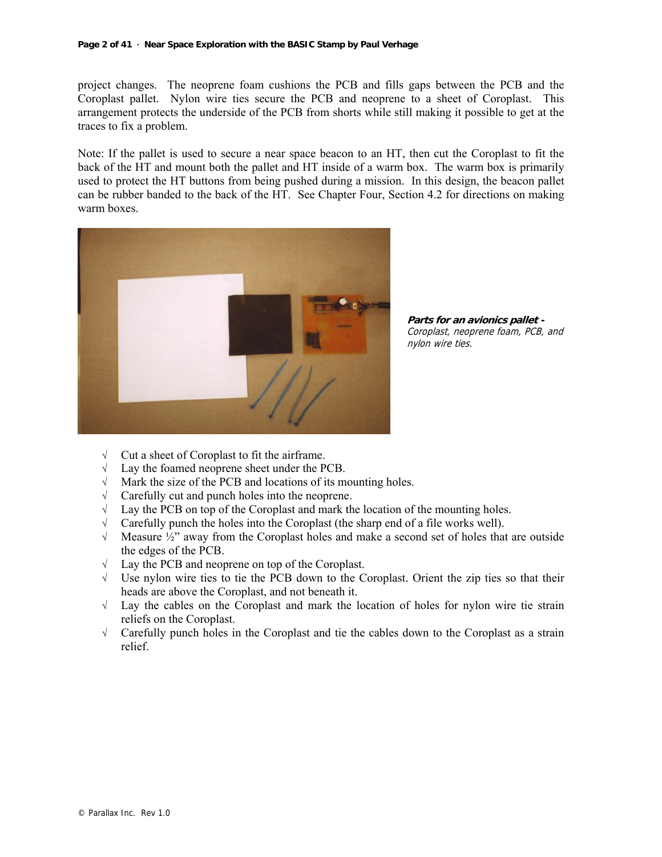project changes. The neoprene foam cushions the PCB and fills gaps between the PCB and the Coroplast pallet. Nylon wire ties secure the PCB and neoprene to a sheet of Coroplast. This arrangement protects the underside of the PCB from shorts while still making it possible to get at the traces to fix a problem.

Note: If the pallet is used to secure a near space beacon to an HT, then cut the Coroplast to fit the back of the HT and mount both the pallet and HT inside of a warm box. The warm box is primarily used to protect the HT buttons from being pushed during a mission. In this design, the beacon pallet can be rubber banded to the back of the HT. See Chapter Four, Section 4.2 for directions on making warm boxes.



**Parts for an avionics pallet -** Coroplast, neoprene foam, PCB, and nylon wire ties.

- √ Cut a sheet of Coroplast to fit the airframe.
- √ Lay the foamed neoprene sheet under the PCB.
- √ Mark the size of the PCB and locations of its mounting holes.
- √ Carefully cut and punch holes into the neoprene.
- $\sqrt{\phantom{a}}$  Lay the PCB on top of the Coroplast and mark the location of the mounting holes.
- √ Carefully punch the holes into the Coroplast (the sharp end of a file works well).
- $\sqrt{\phantom{a}}$  Measure  $\frac{1}{2}$  away from the Coroplast holes and make a second set of holes that are outside the edges of the PCB.
- √ Lay the PCB and neoprene on top of the Coroplast.
- √ Use nylon wire ties to tie the PCB down to the Coroplast. Orient the zip ties so that their heads are above the Coroplast, and not beneath it.
- √ Lay the cables on the Coroplast and mark the location of holes for nylon wire tie strain reliefs on the Coroplast.
- √ Carefully punch holes in the Coroplast and tie the cables down to the Coroplast as a strain relief.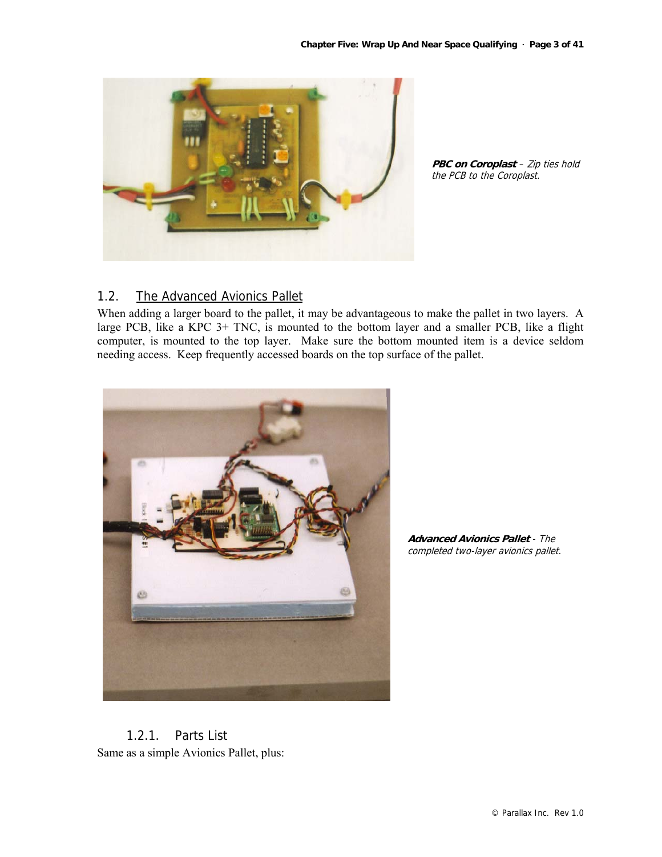

**PBC on Coroplast** - Zip ties hold the PCB to the Coroplast.

#### 1.2. The Advanced Avionics Pallet

When adding a larger board to the pallet, it may be advantageous to make the pallet in two layers. A large PCB, like a KPC 3+ TNC, is mounted to the bottom layer and a smaller PCB, like a flight computer, is mounted to the top layer. Make sure the bottom mounted item is a device seldom needing access. Keep frequently accessed boards on the top surface of the pallet.



**Advanced Avionics Pallet** - The completed two-layer avionics pallet.

1.2.1. Parts List Same as a simple Avionics Pallet, plus: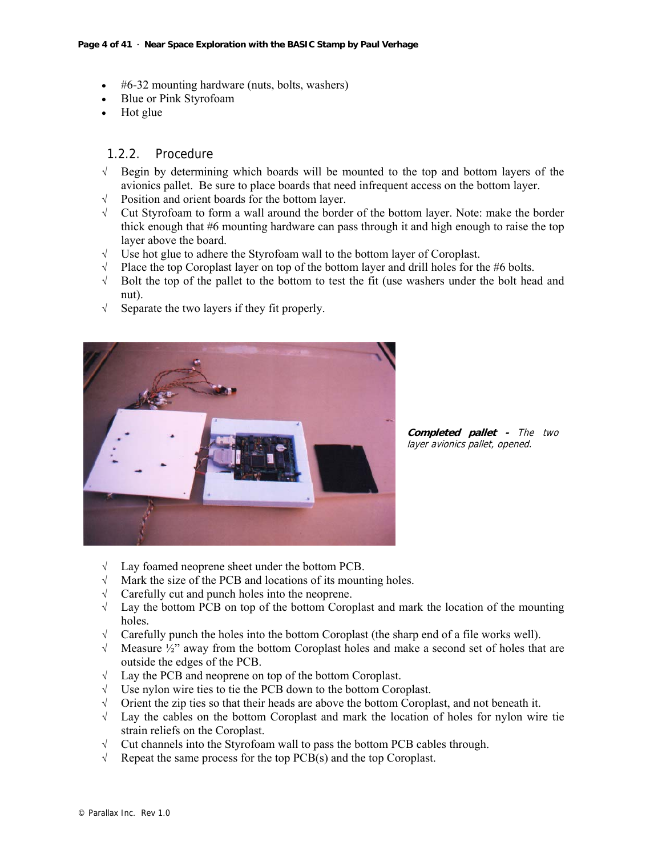- #6-32 mounting hardware (nuts, bolts, washers)
- Blue or Pink Styrofoam
- Hot glue

#### 1.2.2. Procedure

- √ Begin by determining which boards will be mounted to the top and bottom layers of the avionics pallet. Be sure to place boards that need infrequent access on the bottom layer.
- √ Position and orient boards for the bottom layer.
- √ Cut Styrofoam to form a wall around the border of the bottom layer. Note: make the border thick enough that #6 mounting hardware can pass through it and high enough to raise the top layer above the board.
- √ Use hot glue to adhere the Styrofoam wall to the bottom layer of Coroplast.
- √ Place the top Coroplast layer on top of the bottom layer and drill holes for the #6 bolts.
- $\sqrt{\phantom{a}}$  Bolt the top of the pallet to the bottom to test the fit (use washers under the bolt head and nut).
- √ Separate the two layers if they fit properly.



**Completed pallet -** The two layer avionics pallet, opened.

- √ Lay foamed neoprene sheet under the bottom PCB.
- Mark the size of the PCB and locations of its mounting holes.
- √ Carefully cut and punch holes into the neoprene.
- √ Lay the bottom PCB on top of the bottom Coroplast and mark the location of the mounting holes.
- √ Carefully punch the holes into the bottom Coroplast (the sharp end of a file works well).
- $\sqrt{\phantom{a}}$  Measure  $\frac{1}{2}$  away from the bottom Coroplast holes and make a second set of holes that are outside the edges of the PCB.
- √ Lay the PCB and neoprene on top of the bottom Coroplast.
- √ Use nylon wire ties to tie the PCB down to the bottom Coroplast.
- √ Orient the zip ties so that their heads are above the bottom Coroplast, and not beneath it.
- √ Lay the cables on the bottom Coroplast and mark the location of holes for nylon wire tie strain reliefs on the Coroplast.
- √ Cut channels into the Styrofoam wall to pass the bottom PCB cables through.
- $\sqrt{\phantom{a}}$  Repeat the same process for the top PCB(s) and the top Coroplast.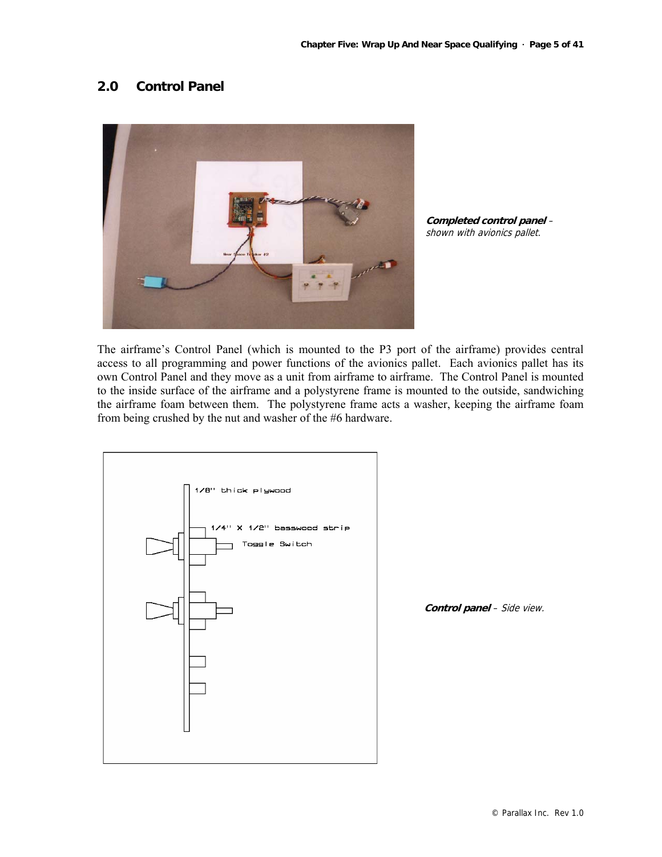#### **2.0 Control Panel**



**Completed control panel** – shown with avionics pallet.

The airframe's Control Panel (which is mounted to the P3 port of the airframe) provides central access to all programming and power functions of the avionics pallet. Each avionics pallet has its own Control Panel and they move as a unit from airframe to airframe. The Control Panel is mounted to the inside surface of the airframe and a polystyrene frame is mounted to the outside, sandwiching the airframe foam between them. The polystyrene frame acts a washer, keeping the airframe foam from being crushed by the nut and washer of the #6 hardware.



**Control panel** – Side view.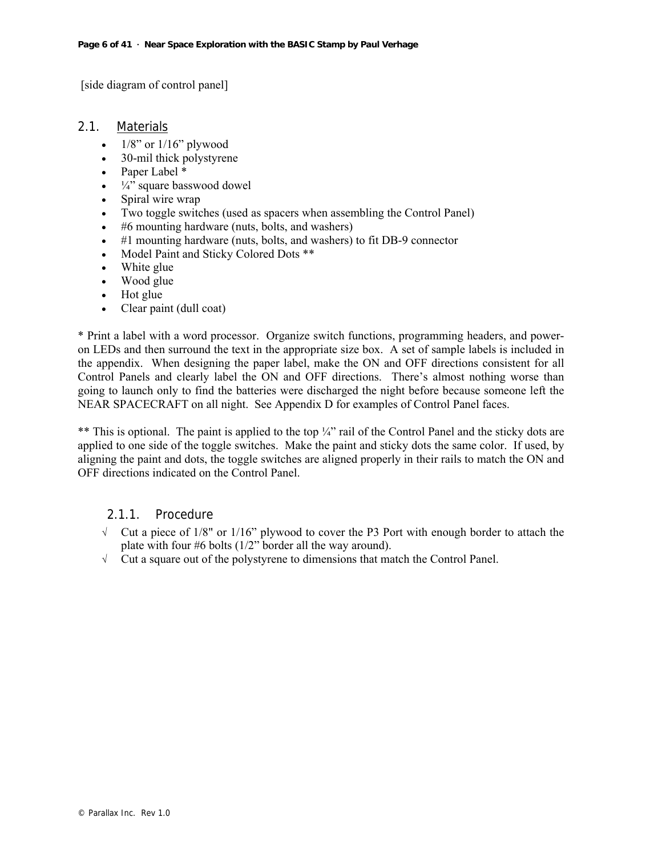[side diagram of control panel]

#### 2.1. Materials

- $1/8$ " or  $1/16$ " plywood
- 30-mil thick polystyrene
- Paper Label \*
- $\bullet$   $\frac{1}{4}$  square basswood dowel
- Spiral wire wrap
- Two toggle switches (used as spacers when assembling the Control Panel)
- #6 mounting hardware (nuts, bolts, and washers)
- #1 mounting hardware (nuts, bolts, and washers) to fit DB-9 connector
- Model Paint and Sticky Colored Dots \*\*
- White glue
- Wood glue
- Hot glue
- Clear paint (dull coat)

\* Print a label with a word processor. Organize switch functions, programming headers, and poweron LEDs and then surround the text in the appropriate size box. A set of sample labels is included in the appendix. When designing the paper label, make the ON and OFF directions consistent for all Control Panels and clearly label the ON and OFF directions. There's almost nothing worse than going to launch only to find the batteries were discharged the night before because someone left the NEAR SPACECRAFT on all night. See Appendix D for examples of Control Panel faces.

\*\* This is optional. The paint is applied to the top ¼" rail of the Control Panel and the sticky dots are applied to one side of the toggle switches. Make the paint and sticky dots the same color. If used, by aligning the paint and dots, the toggle switches are aligned properly in their rails to match the ON and OFF directions indicated on the Control Panel.

#### 2.1.1. Procedure

- $\sqrt{\phantom{a}}$  Cut a piece of 1/8" or 1/16" plywood to cover the P3 Port with enough border to attach the plate with four #6 bolts (1/2" border all the way around).
- √ Cut a square out of the polystyrene to dimensions that match the Control Panel.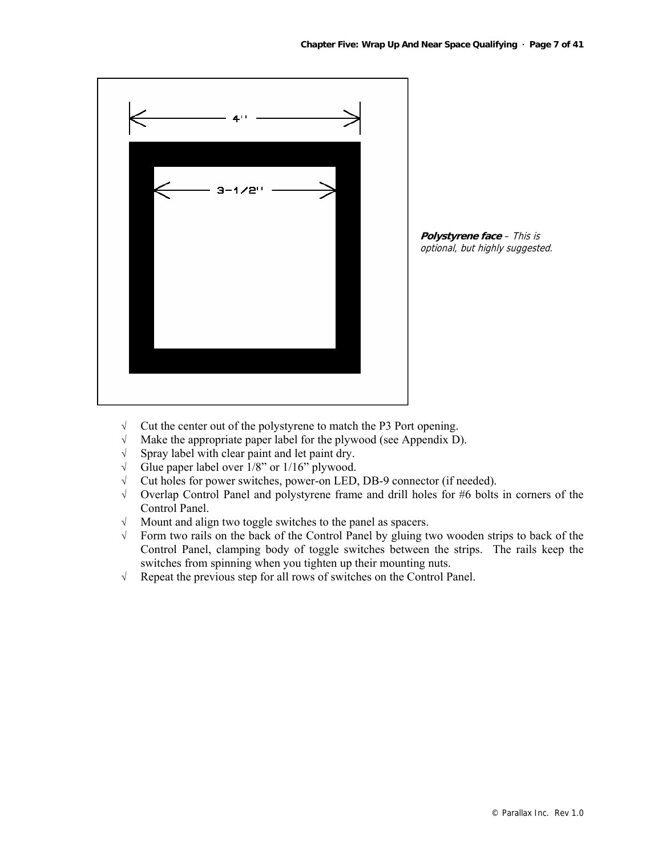

**Polystyrene face** – This is optional, but highly suggested.

- √ Cut the center out of the polystyrene to match the P3 Port opening.
- √ Make the appropriate paper label for the plywood (see Appendix D).
- √ Spray label with clear paint and let paint dry.
- $\sqrt{\phantom{a}}$  Glue paper label over 1/8" or 1/16" plywood.
- √ Cut holes for power switches, power-on LED, DB-9 connector (if needed).
- √ Overlap Control Panel and polystyrene frame and drill holes for #6 bolts in corners of the Control Panel.
- √ Mount and align two toggle switches to the panel as spacers.
- √ Form two rails on the back of the Control Panel by gluing two wooden strips to back of the Control Panel, clamping body of toggle switches between the strips. The rails keep the switches from spinning when you tighten up their mounting nuts.
- √ Repeat the previous step for all rows of switches on the Control Panel.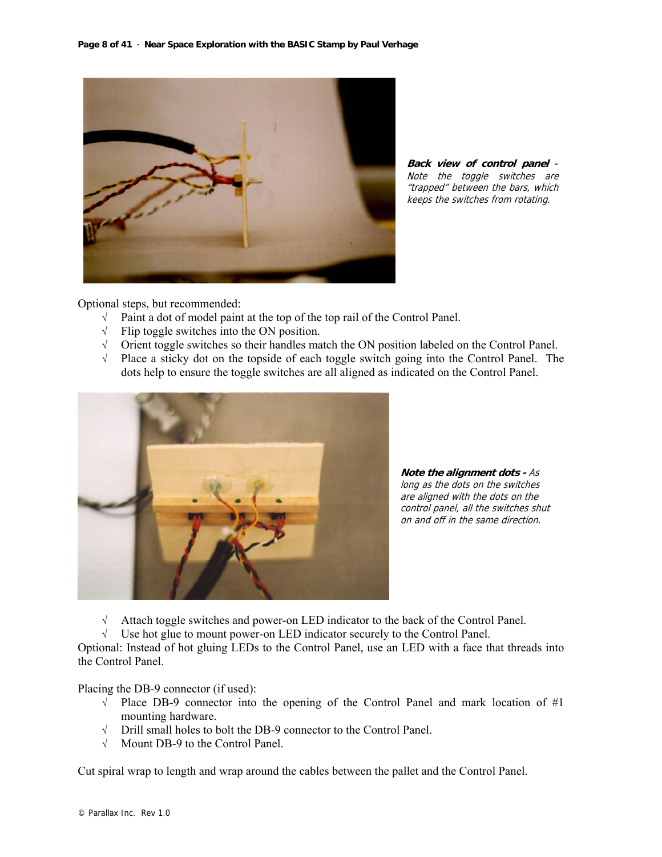

**Back view of control panel** - Note the toggle switches are "trapped" between the bars, which keeps the switches from rotating.

Optional steps, but recommended:

- √ Paint a dot of model paint at the top of the top rail of the Control Panel.
- √ Flip toggle switches into the ON position.
- √ Orient toggle switches so their handles match the ON position labeled on the Control Panel.
- √ Place a sticky dot on the topside of each toggle switch going into the Control Panel. The dots help to ensure the toggle switches are all aligned as indicated on the Control Panel.



**Note the alignment dots -** As long as the dots on the switches are aligned with the dots on the control panel, all the switches shut on and off in the same direction.

√ Attach toggle switches and power-on LED indicator to the back of the Control Panel.

√ Use hot glue to mount power-on LED indicator securely to the Control Panel.

Optional: Instead of hot gluing LEDs to the Control Panel, use an LED with a face that threads into the Control Panel.

Placing the DB-9 connector (if used):

- √ Place DB-9 connector into the opening of the Control Panel and mark location of #1 mounting hardware.
- √ Drill small holes to bolt the DB-9 connector to the Control Panel.
- √ Mount DB-9 to the Control Panel.

Cut spiral wrap to length and wrap around the cables between the pallet and the Control Panel.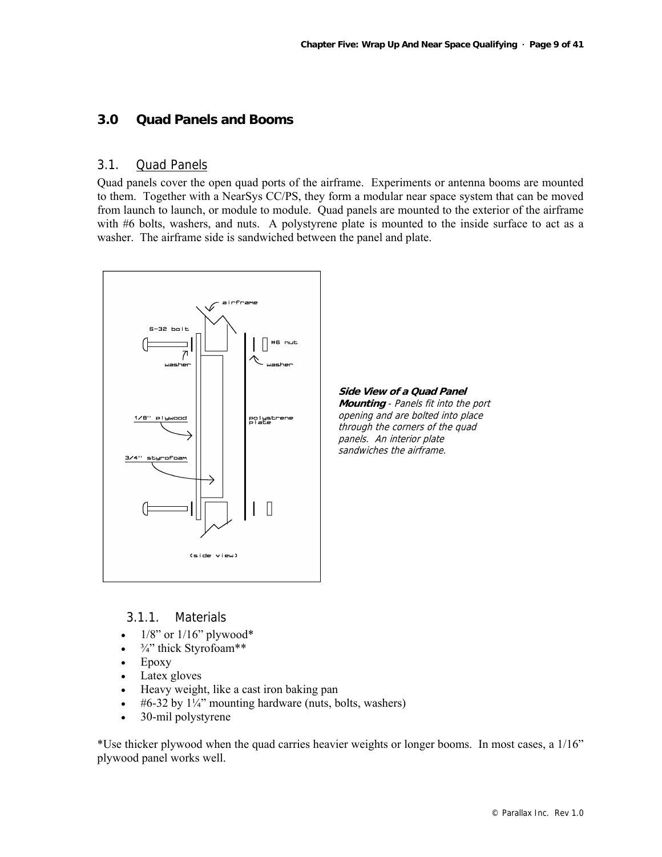#### **3.0 Quad Panels and Booms**

#### 3.1. Quad Panels

Quad panels cover the open quad ports of the airframe. Experiments or antenna booms are mounted to them. Together with a NearSys CC/PS, they form a modular near space system that can be moved from launch to launch, or module to module. Quad panels are mounted to the exterior of the airframe with #6 bolts, washers, and nuts. A polystyrene plate is mounted to the inside surface to act as a washer. The airframe side is sandwiched between the panel and plate.



#### 3.1.1. Materials

- $1/8$ " or  $1/16$ " plywood\*
- $\bullet$   $\frac{3}{4}$ " thick Styrofoam\*\*
- Epoxy
- Latex gloves
- Heavy weight, like a cast iron baking pan
- #6-32 by  $1\frac{1}{4}$ " mounting hardware (nuts, bolts, washers)
- 30-mil polystyrene

\*Use thicker plywood when the quad carries heavier weights or longer booms. In most cases, a 1/16" plywood panel works well.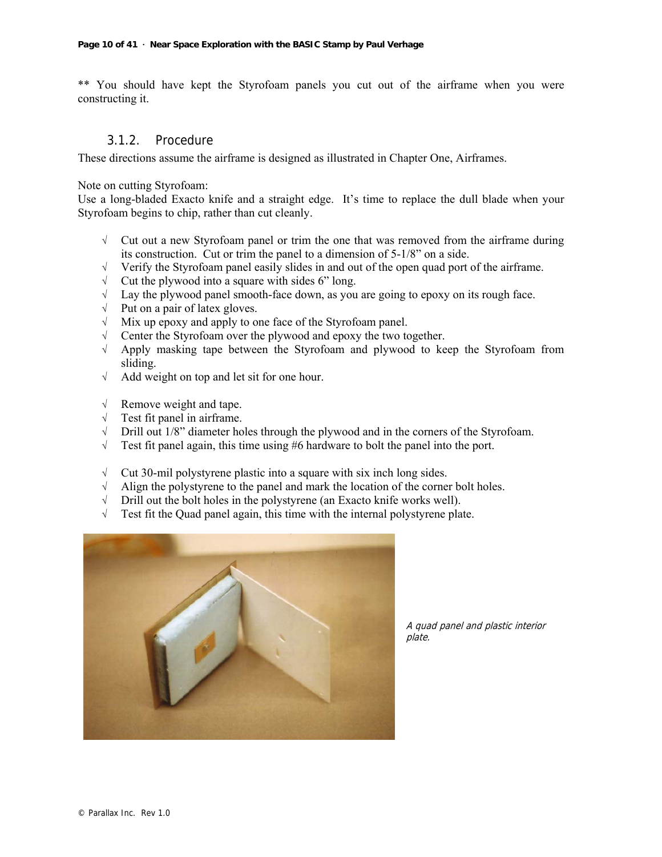\*\* You should have kept the Styrofoam panels you cut out of the airframe when you were constructing it.

#### 3.1.2. Procedure

These directions assume the airframe is designed as illustrated in Chapter One, Airframes.

Note on cutting Styrofoam:

Use a long-bladed Exacto knife and a straight edge. It's time to replace the dull blade when your Styrofoam begins to chip, rather than cut cleanly.

- √ Cut out a new Styrofoam panel or trim the one that was removed from the airframe during its construction. Cut or trim the panel to a dimension of 5-1/8" on a side.
- √ Verify the Styrofoam panel easily slides in and out of the open quad port of the airframe.
- $\sqrt{\phantom{a}}$  Cut the plywood into a square with sides 6" long.
- $\sqrt{\phantom{a}}$  Lay the plywood panel smooth-face down, as you are going to epoxy on its rough face.
- √ Put on a pair of latex gloves.
- √ Mix up epoxy and apply to one face of the Styrofoam panel.
- √ Center the Styrofoam over the plywood and epoxy the two together.
- √ Apply masking tape between the Styrofoam and plywood to keep the Styrofoam from sliding.
- √ Add weight on top and let sit for one hour.
- √ Remove weight and tape.
- √ Test fit panel in airframe.
- $\sqrt{\phantom{a}}$  Drill out 1/8" diameter holes through the plywood and in the corners of the Styrofoam.
- $\sqrt{\phantom{a}}$  Test fit panel again, this time using #6 hardware to bolt the panel into the port.
- √ Cut 30-mil polystyrene plastic into a square with six inch long sides.
- √ Align the polystyrene to the panel and mark the location of the corner bolt holes.
- $\sqrt{\phantom{a}}$  Drill out the bolt holes in the polystyrene (an Exacto knife works well).
- √ Test fit the Quad panel again, this time with the internal polystyrene plate.



A quad panel and plastic interior plate.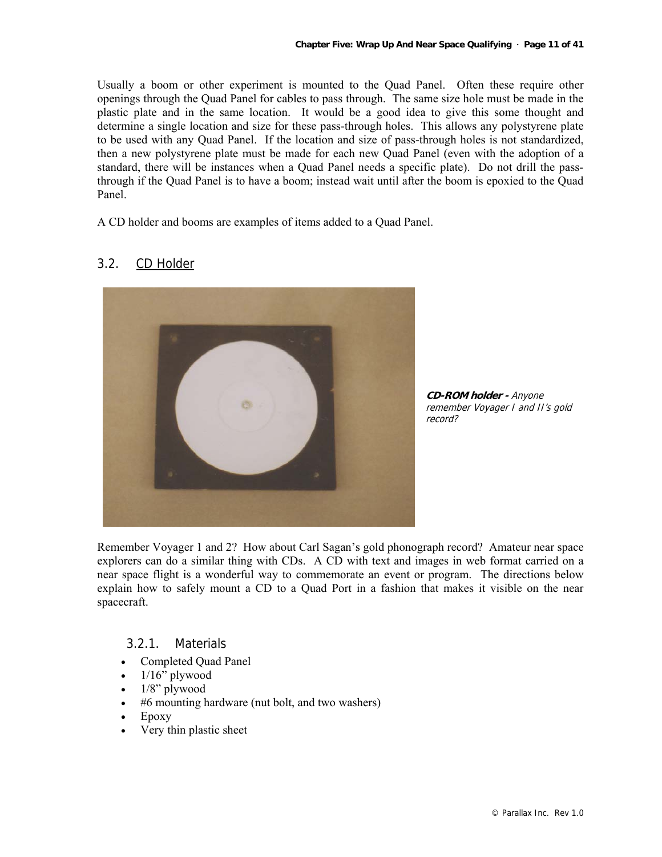Usually a boom or other experiment is mounted to the Quad Panel. Often these require other openings through the Quad Panel for cables to pass through. The same size hole must be made in the plastic plate and in the same location. It would be a good idea to give this some thought and determine a single location and size for these pass-through holes. This allows any polystyrene plate to be used with any Quad Panel. If the location and size of pass-through holes is not standardized, then a new polystyrene plate must be made for each new Quad Panel (even with the adoption of a standard, there will be instances when a Quad Panel needs a specific plate). Do not drill the passthrough if the Quad Panel is to have a boom; instead wait until after the boom is epoxied to the Quad Panel.

A CD holder and booms are examples of items added to a Quad Panel.

#### 3.2. CD Holder

**CD-ROM holder -** Anyone remember Voyager I and II's gold record?

Remember Voyager 1 and 2? How about Carl Sagan's gold phonograph record? Amateur near space explorers can do a similar thing with CDs. A CD with text and images in web format carried on a near space flight is a wonderful way to commemorate an event or program. The directions below explain how to safely mount a CD to a Quad Port in a fashion that makes it visible on the near spacecraft.

#### 3.2.1. Materials

- Completed Quad Panel
- $1/16$ " plywood
- $1/8$ " plywood
- #6 mounting hardware (nut bolt, and two washers)
- Epoxy
- Very thin plastic sheet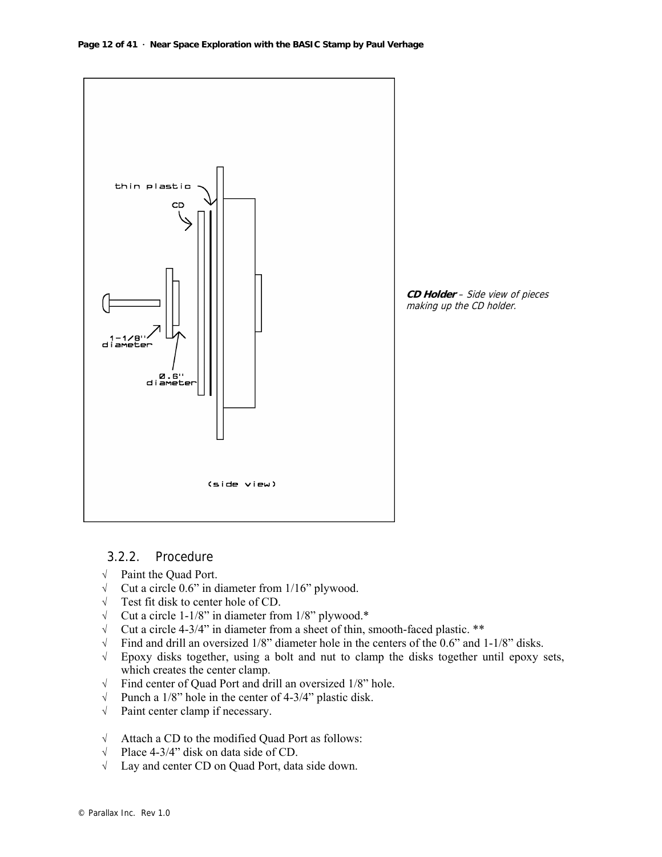

#### 3.2.2. Procedure

- √ Paint the Quad Port.
- √ Cut a circle 0.6" in diameter from 1/16" plywood.
- √ Test fit disk to center hole of CD.
- √ Cut a circle 1-1/8" in diameter from 1/8" plywood.\*
- √ Cut a circle 4-3/4" in diameter from a sheet of thin, smooth-faced plastic. \*\*
- √ Find and drill an oversized 1/8" diameter hole in the centers of the 0.6" and 1-1/8" disks.
- √ Epoxy disks together, using a bolt and nut to clamp the disks together until epoxy sets, which creates the center clamp.
- $\sqrt{\frac{1}{8}}$  Find center of Quad Port and drill an oversized 1/8" hole.<br>  $\sqrt{\frac{1}{8}}$  Punch a 1/8" hole in the center of 4-3/4" plastic disk.
- Punch a 1/8" hole in the center of 4-3/4" plastic disk.
- √ Paint center clamp if necessary.
- √ Attach a CD to the modified Quad Port as follows:
- √ Place 4-3/4" disk on data side of CD.
- √ Lay and center CD on Quad Port, data side down.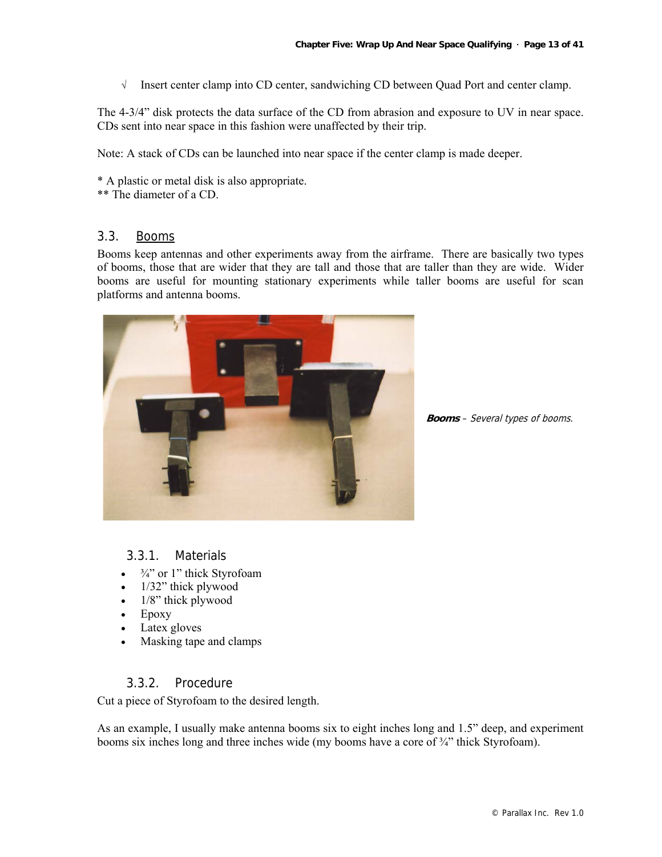√ Insert center clamp into CD center, sandwiching CD between Quad Port and center clamp.

The 4-3/4" disk protects the data surface of the CD from abrasion and exposure to UV in near space. CDs sent into near space in this fashion were unaffected by their trip.

Note: A stack of CDs can be launched into near space if the center clamp is made deeper.

\* A plastic or metal disk is also appropriate.

\*\* The diameter of a CD.

#### 3.3. Booms

Booms keep antennas and other experiments away from the airframe. There are basically two types of booms, those that are wider that they are tall and those that are taller than they are wide. Wider booms are useful for mounting stationary experiments while taller booms are useful for scan platforms and antenna booms.



**Booms** – Several types of booms.

#### 3.3.1. Materials

- $\frac{3}{4}$ " or 1" thick Styrofoam
- 1/32" thick plywood
- 1/8" thick plywood
- Epoxy
- Latex gloves
- Masking tape and clamps

#### 3.3.2. Procedure

Cut a piece of Styrofoam to the desired length.

As an example, I usually make antenna booms six to eight inches long and 1.5" deep, and experiment booms six inches long and three inches wide (my booms have a core of  $\frac{3}{4}$ " thick Styrofoam).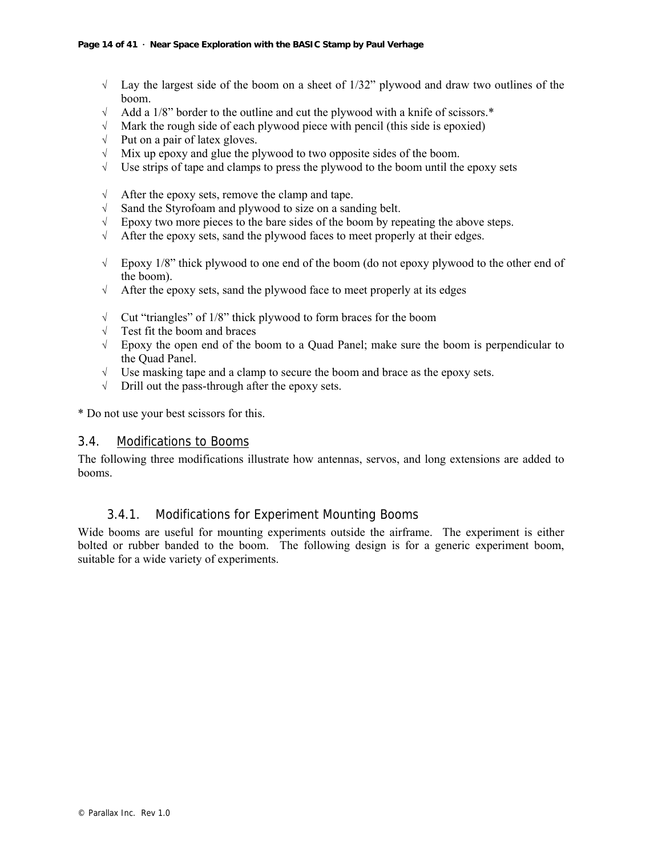- $\sqrt{\phantom{a}}$  Lay the largest side of the boom on a sheet of 1/32" plywood and draw two outlines of the boom.
- √ Add a 1/8" border to the outline and cut the plywood with a knife of scissors.\*
- √ Mark the rough side of each plywood piece with pencil (this side is epoxied)
- √ Put on a pair of latex gloves.
- $\sqrt{\phantom{a}}$  Mix up epoxy and glue the plywood to two opposite sides of the boom.
- √ Use strips of tape and clamps to press the plywood to the boom until the epoxy sets
- √ After the epoxy sets, remove the clamp and tape.
- √ Sand the Styrofoam and plywood to size on a sanding belt.
- $\sqrt{\phantom{a}}$  Epoxy two more pieces to the bare sides of the boom by repeating the above steps.
- √ After the epoxy sets, sand the plywood faces to meet properly at their edges.
- √ Epoxy 1/8" thick plywood to one end of the boom (do not epoxy plywood to the other end of the boom).
- √ After the epoxy sets, sand the plywood face to meet properly at its edges
- √ Cut "triangles" of 1/8" thick plywood to form braces for the boom
- √ Test fit the boom and braces
- √ Epoxy the open end of the boom to a Quad Panel; make sure the boom is perpendicular to the Quad Panel.
- √ Use masking tape and a clamp to secure the boom and brace as the epoxy sets.
- √ Drill out the pass-through after the epoxy sets.

\* Do not use your best scissors for this.

#### 3.4. Modifications to Booms

The following three modifications illustrate how antennas, servos, and long extensions are added to booms.

#### 3.4.1. Modifications for Experiment Mounting Booms

Wide booms are useful for mounting experiments outside the airframe. The experiment is either bolted or rubber banded to the boom. The following design is for a generic experiment boom, suitable for a wide variety of experiments.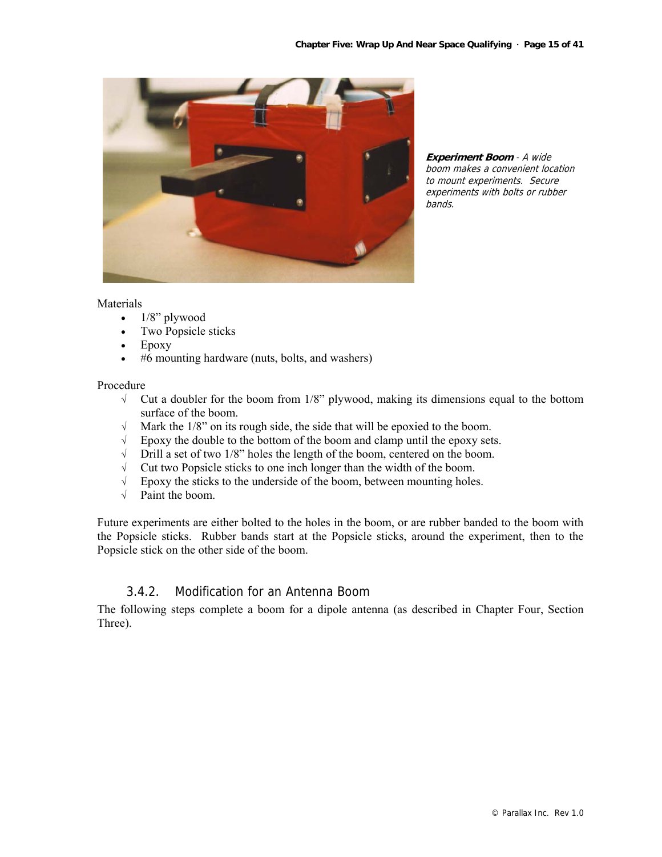

**Experiment Boom** - A wide boom makes a convenient location to mount experiments. Secure experiments with bolts or rubber bands.

#### **Materials**

- $\bullet$  1/8" plywood
- Two Popsicle sticks
- Epoxy
- #6 mounting hardware (nuts, bolts, and washers)

#### Procedure

- $\sqrt{\phantom{a}}$  Cut a doubler for the boom from 1/8" plywood, making its dimensions equal to the bottom surface of the boom.
- √ Mark the 1/8" on its rough side, the side that will be epoxied to the boom.
- √ Epoxy the double to the bottom of the boom and clamp until the epoxy sets.
- √ Drill a set of two 1/8" holes the length of the boom, centered on the boom.
- √ Cut two Popsicle sticks to one inch longer than the width of the boom.
- √ Epoxy the sticks to the underside of the boom, between mounting holes.
- √ Paint the boom.

Future experiments are either bolted to the holes in the boom, or are rubber banded to the boom with the Popsicle sticks. Rubber bands start at the Popsicle sticks, around the experiment, then to the Popsicle stick on the other side of the boom.

#### 3.4.2. Modification for an Antenna Boom

The following steps complete a boom for a dipole antenna (as described in Chapter Four, Section Three).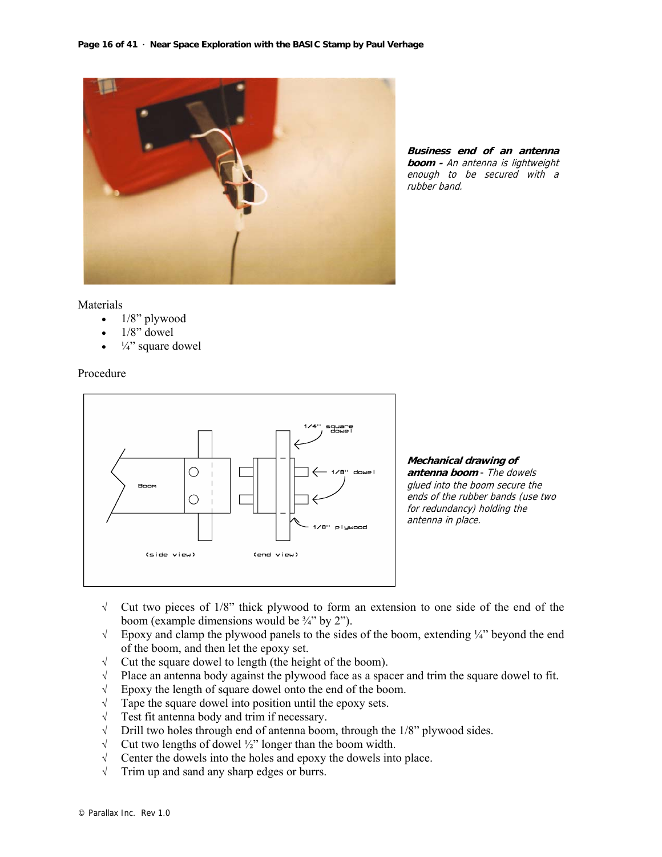

**Business end of an antenna boom -** An antenna is lightweight enough to be secured with a rubber band.

#### Materials

- 1/8" plywood
- $1/8$ " dowel
- $\frac{1}{4}$ " square dowel

#### Procedure



**Mechanical drawing of antenna boom** - The dowels glued into the boom secure the ends of the rubber bands (use two for redundancy) holding the antenna in place.

- √ Cut two pieces of 1/8" thick plywood to form an extension to one side of the end of the boom (example dimensions would be  $\frac{3}{4}$ " by 2").
- √ Epoxy and clamp the plywood panels to the sides of the boom, extending ¼" beyond the end of the boom, and then let the epoxy set.
- √ Cut the square dowel to length (the height of the boom).
- √ Place an antenna body against the plywood face as a spacer and trim the square dowel to fit.
- √ Epoxy the length of square dowel onto the end of the boom.
- $\sqrt{\phantom{a}}$  Tape the square dowel into position until the epoxy sets.
- √ Test fit antenna body and trim if necessary.
- √ Drill two holes through end of antenna boom, through the 1/8" plywood sides.
- √ Cut two lengths of dowel ½" longer than the boom width.
- √ Center the dowels into the holes and epoxy the dowels into place.
- √ Trim up and sand any sharp edges or burrs.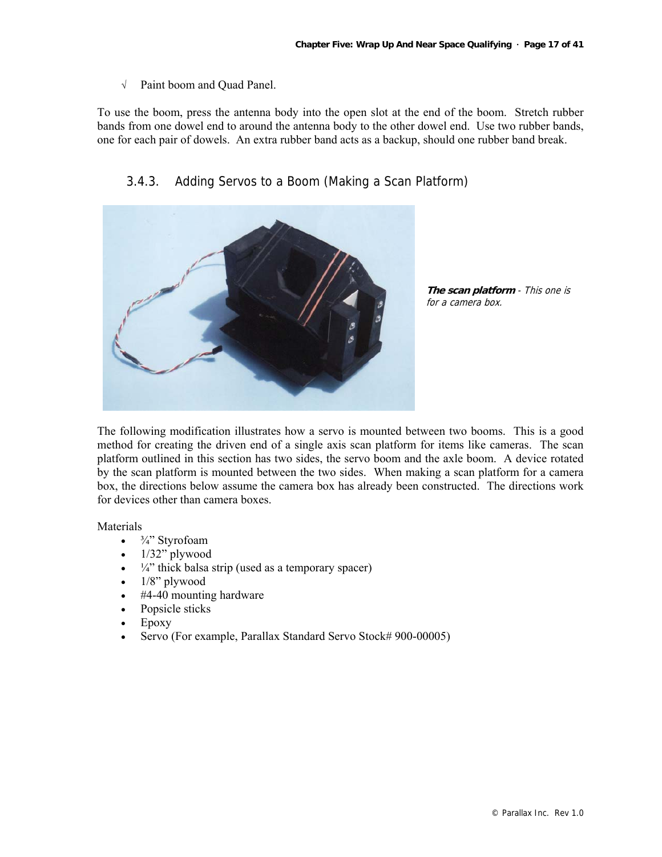√ Paint boom and Quad Panel.

To use the boom, press the antenna body into the open slot at the end of the boom. Stretch rubber bands from one dowel end to around the antenna body to the other dowel end. Use two rubber bands, one for each pair of dowels. An extra rubber band acts as a backup, should one rubber band break.



3.4.3. Adding Servos to a Boom (Making a Scan Platform)

**The scan platform** - This one is for a camera box.

The following modification illustrates how a servo is mounted between two booms. This is a good method for creating the driven end of a single axis scan platform for items like cameras. The scan platform outlined in this section has two sides, the servo boom and the axle boom. A device rotated by the scan platform is mounted between the two sides. When making a scan platform for a camera box, the directions below assume the camera box has already been constructed. The directions work for devices other than camera boxes.

**Materials** 

- $\frac{3}{4}$ " Styrofoam
- $\bullet$  1/32" plywood
- $\frac{1}{4}$ " thick balsa strip (used as a temporary spacer)
- $\bullet$  1/8" plywood
- #4-40 mounting hardware
- Popsicle sticks
- Epoxy
- Servo (For example, Parallax Standard Servo Stock# 900-00005)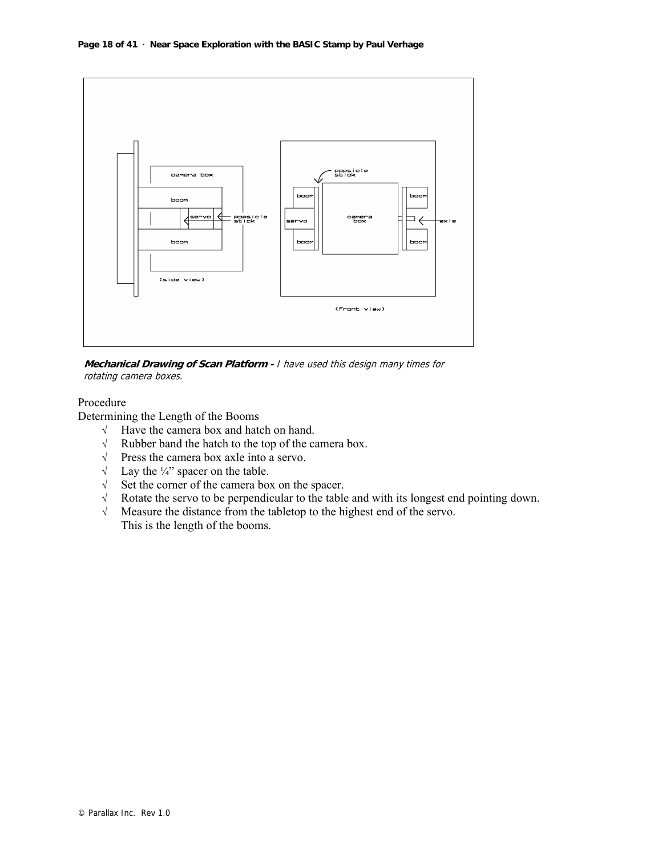

**Mechanical Drawing of Scan Platform -** I have used this design many times for rotating camera boxes.

#### Procedure

Determining the Length of the Booms

- √ Have the camera box and hatch on hand.
- √ Rubber band the hatch to the top of the camera box.
- √ Press the camera box axle into a servo.
- $\sqrt{\phantom{a}}$  Lay the  $\frac{1}{4}$  spacer on the table.
- √ Set the corner of the camera box on the spacer.
- √ Rotate the servo to be perpendicular to the table and with its longest end pointing down.
- √ Measure the distance from the tabletop to the highest end of the servo. This is the length of the booms.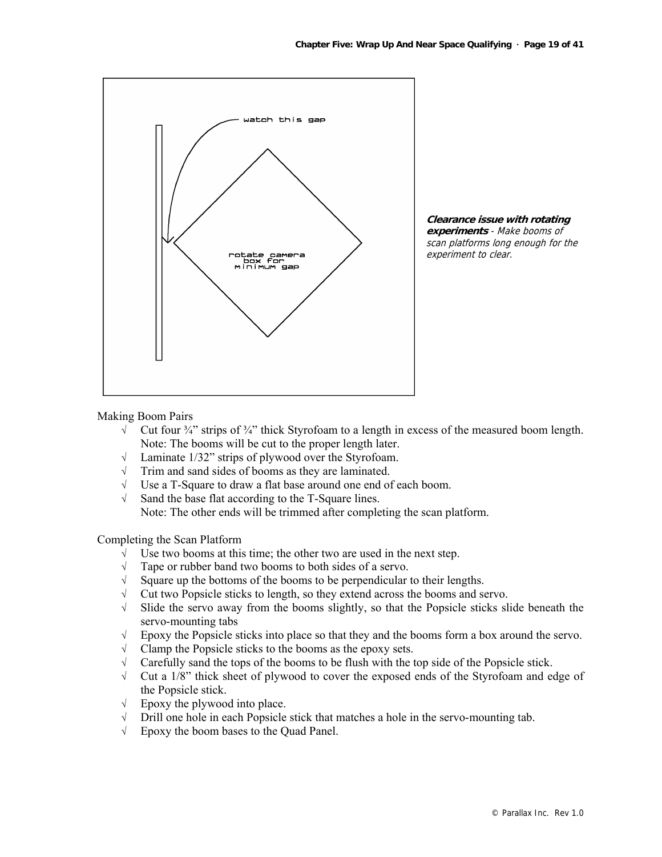



Making Boom Pairs

- $\sqrt{\phantom{a}}$  Cut four  $\frac{3}{4}$  strips of  $\frac{3}{4}$  thick Styrofoam to a length in excess of the measured boom length. Note: The booms will be cut to the proper length later.
- √ Laminate 1/32" strips of plywood over the Styrofoam.
- √ Trim and sand sides of booms as they are laminated.
- √ Use a T-Square to draw a flat base around one end of each boom.
- √ Sand the base flat according to the T-Square lines. Note: The other ends will be trimmed after completing the scan platform.

Completing the Scan Platform

- √ Use two booms at this time; the other two are used in the next step.
- √ Tape or rubber band two booms to both sides of a servo.
- $\sqrt{\phantom{a}}$  Square up the bottoms of the booms to be perpendicular to their lengths.
- √ Cut two Popsicle sticks to length, so they extend across the booms and servo.
- √ Slide the servo away from the booms slightly, so that the Popsicle sticks slide beneath the servo-mounting tabs
- √ Epoxy the Popsicle sticks into place so that they and the booms form a box around the servo.
- √ Clamp the Popsicle sticks to the booms as the epoxy sets.
- $\sqrt{\phantom{a}}$  Carefully sand the tops of the booms to be flush with the top side of the Popsicle stick.
- √ Cut a 1/8" thick sheet of plywood to cover the exposed ends of the Styrofoam and edge of the Popsicle stick.
- $\sqrt{\phantom{a}}$  Epoxy the plywood into place.
- √ Drill one hole in each Popsicle stick that matches a hole in the servo-mounting tab.
- √ Epoxy the boom bases to the Quad Panel.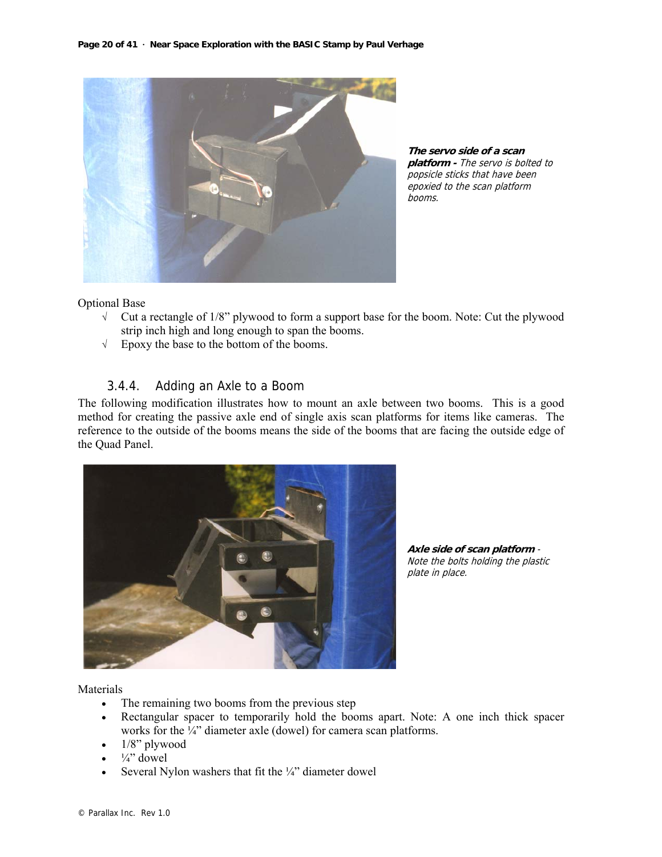

**The servo side of a scan platform -** The servo is bolted to popsicle sticks that have been epoxied to the scan platform booms.

Optional Base

- $\sqrt{\phantom{a}}$  Cut a rectangle of 1/8" plywood to form a support base for the boom. Note: Cut the plywood strip inch high and long enough to span the booms.
- √ Epoxy the base to the bottom of the booms.

#### 3.4.4. Adding an Axle to a Boom

The following modification illustrates how to mount an axle between two booms. This is a good method for creating the passive axle end of single axis scan platforms for items like cameras. The reference to the outside of the booms means the side of the booms that are facing the outside edge of the Quad Panel.



**Axle side of scan platform** - Note the bolts holding the plastic plate in place.

Materials

- The remaining two booms from the previous step
- Rectangular spacer to temporarily hold the booms apart. Note: A one inch thick spacer works for the  $\frac{1}{4}$  diameter axle (dowel) for camera scan platforms.
- $\bullet$  1/8" plywood
- $\bullet$   $\frac{1}{4}$  dowel
- Several Nylon washers that fit the  $\frac{1}{4}$ " diameter dowel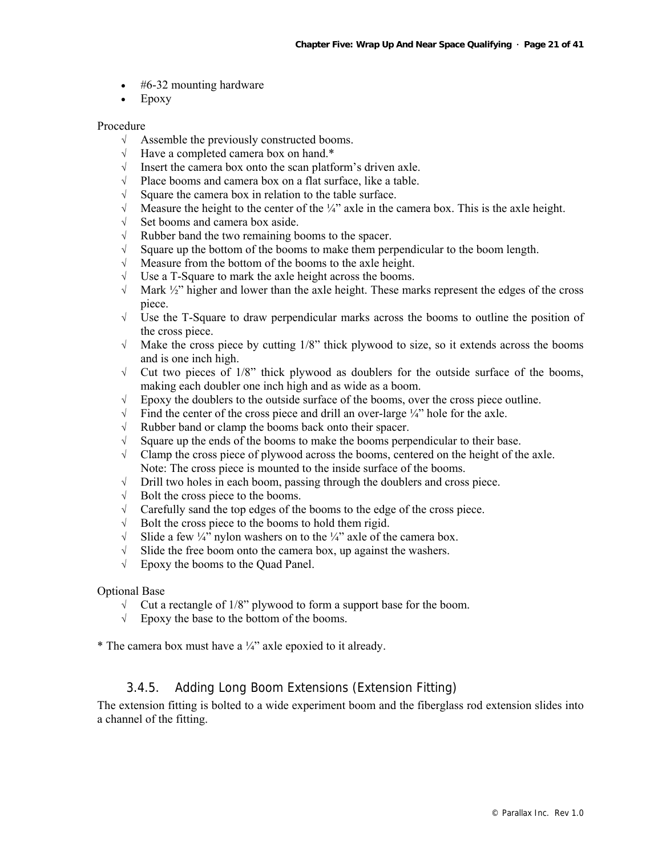- #6-32 mounting hardware
- Epoxy

#### Procedure

- √ Assemble the previously constructed booms.
- √ Have a completed camera box on hand.\*
- √ Insert the camera box onto the scan platform's driven axle.
- √ Place booms and camera box on a flat surface, like a table.
- √ Square the camera box in relation to the table surface.
- $\sqrt{\phantom{a}}$  Measure the height to the center of the ¼" axle in the camera box. This is the axle height.
- √ Set booms and camera box aside.
- √ Rubber band the two remaining booms to the spacer.
- √ Square up the bottom of the booms to make them perpendicular to the boom length.
- √ Measure from the bottom of the booms to the axle height.
- √ Use a T-Square to mark the axle height across the booms.
- √ Mark ½" higher and lower than the axle height. These marks represent the edges of the cross piece.
- √ Use the T-Square to draw perpendicular marks across the booms to outline the position of the cross piece.
- √ Make the cross piece by cutting 1/8" thick plywood to size, so it extends across the booms and is one inch high.
- $\sqrt{\phantom{a}}$  Cut two pieces of 1/8" thick plywood as doublers for the outside surface of the booms, making each doubler one inch high and as wide as a boom.
- √ Epoxy the doublers to the outside surface of the booms, over the cross piece outline.
- $\sqrt{\phantom{a}}$  Find the center of the cross piece and drill an over-large  $\frac{1}{4}$  hole for the axle.
- √ Rubber band or clamp the booms back onto their spacer.
- √ Square up the ends of the booms to make the booms perpendicular to their base.
- $\sqrt{\phantom{a}}$  Clamp the cross piece of plywood across the booms, centered on the height of the axle. Note: The cross piece is mounted to the inside surface of the booms.
- √ Drill two holes in each boom, passing through the doublers and cross piece.
- √ Bolt the cross piece to the booms.
- √ Carefully sand the top edges of the booms to the edge of the cross piece.
- $\sqrt{\phantom{a}}$  Bolt the cross piece to the booms to hold them rigid.
- $\sqrt{\phantom{a}}$  Slide a few ¼" nylon washers on to the ¼" axle of the camera box.
- $\sqrt{\phantom{a}}$  Slide the free boom onto the camera box, up against the washers.
- √ Epoxy the booms to the Quad Panel.

#### Optional Base

- √ Cut a rectangle of 1/8" plywood to form a support base for the boom.
- √ Epoxy the base to the bottom of the booms.
- \* The camera box must have a  $\frac{1}{4}$  axle epoxied to it already.

#### 3.4.5. Adding Long Boom Extensions (Extension Fitting)

The extension fitting is bolted to a wide experiment boom and the fiberglass rod extension slides into a channel of the fitting.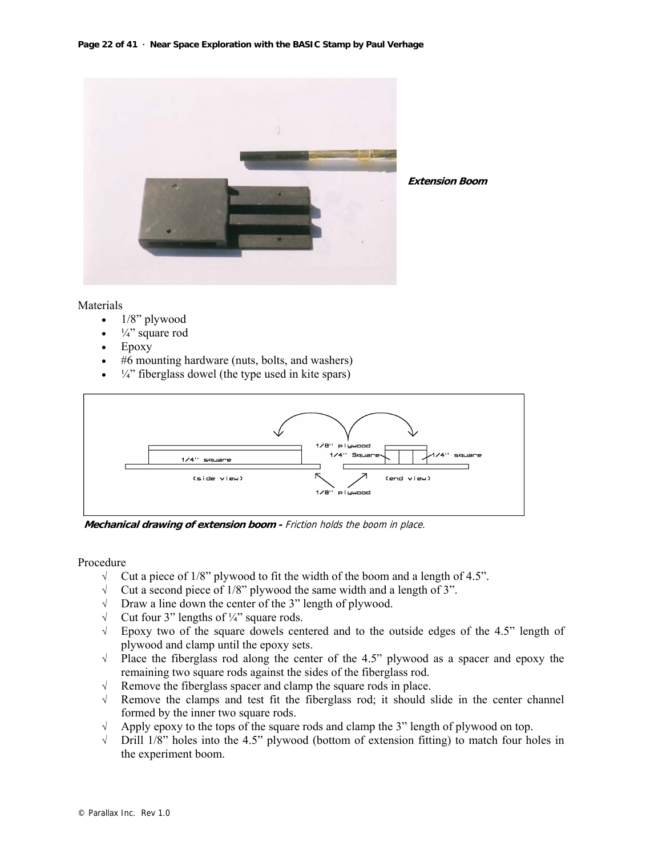

**Extension Boom**

#### Materials

- $1/8$ " plywood
- $\frac{1}{4}$ " square rod
- Epoxy
- #6 mounting hardware (nuts, bolts, and washers)
- $\bullet$   $\frac{1}{4}$  fiberglass dowel (the type used in kite spars)



**Mechanical drawing of extension boom -** Friction holds the boom in place.

#### Procedure

- √ Cut a piece of 1/8" plywood to fit the width of the boom and a length of 4.5".
- √ Cut a second piece of 1/8" plywood the same width and a length of 3".
- √ Draw a line down the center of the 3" length of plywood.
- $\sqrt{\phantom{a}}$  Cut four 3" lengths of ¼" square rods.
- √ Epoxy two of the square dowels centered and to the outside edges of the 4.5" length of plywood and clamp until the epoxy sets.
- √ Place the fiberglass rod along the center of the 4.5" plywood as a spacer and epoxy the remaining two square rods against the sides of the fiberglass rod.
- √ Remove the fiberglass spacer and clamp the square rods in place.
- √ Remove the clamps and test fit the fiberglass rod; it should slide in the center channel formed by the inner two square rods.
- √ Apply epoxy to the tops of the square rods and clamp the 3" length of plywood on top.
- $\sqrt{\phantom{a}}$  Drill 1/8" holes into the 4.5" plywood (bottom of extension fitting) to match four holes in the experiment boom.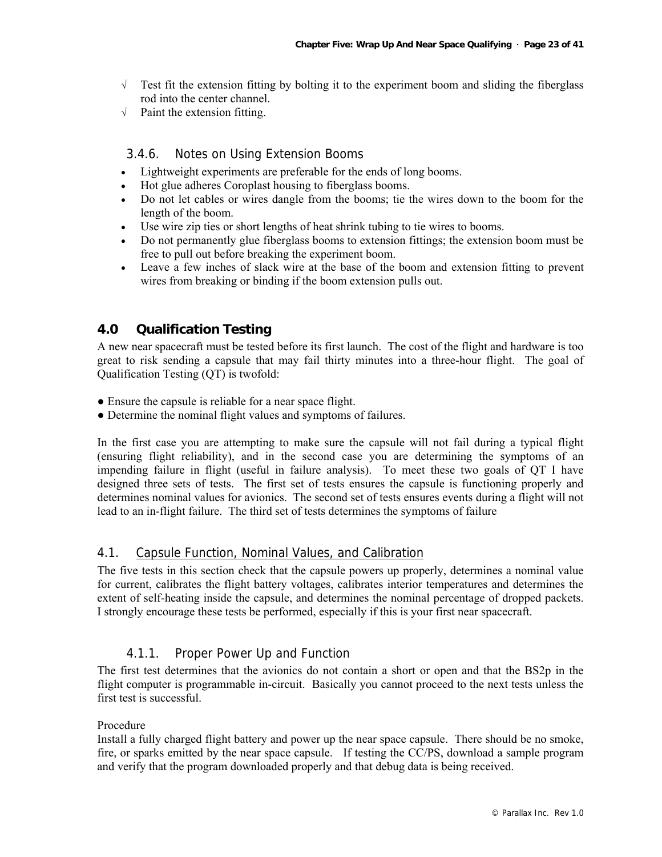- √ Test fit the extension fitting by bolting it to the experiment boom and sliding the fiberglass rod into the center channel.
- $\sqrt{\phantom{a}}$  Paint the extension fitting.

#### 3.4.6. Notes on Using Extension Booms

- Lightweight experiments are preferable for the ends of long booms.
- Hot glue adheres Coroplast housing to fiberglass booms.
- Do not let cables or wires dangle from the booms; tie the wires down to the boom for the length of the boom.
- Use wire zip ties or short lengths of heat shrink tubing to tie wires to booms.
- Do not permanently glue fiberglass booms to extension fittings; the extension boom must be free to pull out before breaking the experiment boom.
- Leave a few inches of slack wire at the base of the boom and extension fitting to prevent wires from breaking or binding if the boom extension pulls out.

#### **4.0 Qualification Testing**

A new near spacecraft must be tested before its first launch. The cost of the flight and hardware is too great to risk sending a capsule that may fail thirty minutes into a three-hour flight. The goal of Qualification Testing (QT) is twofold:

- Ensure the capsule is reliable for a near space flight.
- Determine the nominal flight values and symptoms of failures.

In the first case you are attempting to make sure the capsule will not fail during a typical flight (ensuring flight reliability), and in the second case you are determining the symptoms of an impending failure in flight (useful in failure analysis). To meet these two goals of QT I have designed three sets of tests. The first set of tests ensures the capsule is functioning properly and determines nominal values for avionics. The second set of tests ensures events during a flight will not lead to an in-flight failure. The third set of tests determines the symptoms of failure

#### 4.1. Capsule Function, Nominal Values, and Calibration

The five tests in this section check that the capsule powers up properly, determines a nominal value for current, calibrates the flight battery voltages, calibrates interior temperatures and determines the extent of self-heating inside the capsule, and determines the nominal percentage of dropped packets. I strongly encourage these tests be performed, especially if this is your first near spacecraft.

#### 4.1.1. Proper Power Up and Function

The first test determines that the avionics do not contain a short or open and that the BS2p in the flight computer is programmable in-circuit. Basically you cannot proceed to the next tests unless the first test is successful.

#### Procedure

Install a fully charged flight battery and power up the near space capsule. There should be no smoke, fire, or sparks emitted by the near space capsule. If testing the CC/PS, download a sample program and verify that the program downloaded properly and that debug data is being received.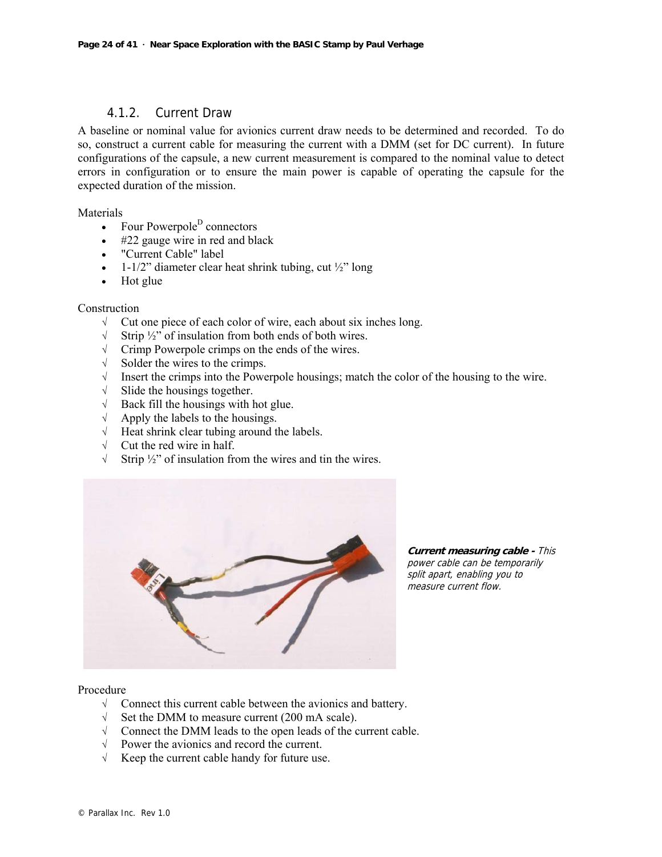#### 4.1.2. Current Draw

A baseline or nominal value for avionics current draw needs to be determined and recorded. To do so, construct a current cable for measuring the current with a DMM (set for DC current). In future configurations of the capsule, a new current measurement is compared to the nominal value to detect errors in configuration or to ensure the main power is capable of operating the capsule for the expected duration of the mission.

Materials

- Four Powerpole<sup>D</sup> connectors
- #22 gauge wire in red and black
- "Current Cable" label
- 1-1/2" diameter clear heat shrink tubing, cut  $\frac{1}{2}$ " long
- Hot glue

#### Construction

- $\sqrt{\phantom{a}}$  Cut one piece of each color of wire, each about six inches long.
- √ Strip ½" of insulation from both ends of both wires.
- √ Crimp Powerpole crimps on the ends of the wires.
- $\sqrt{\ }$  Solder the wires to the crimps.<br>  $\sqrt{\ }$  Insert the crimps into the Powe
- Insert the crimps into the Powerpole housings; match the color of the housing to the wire.
- $\sqrt{\ }$  Slide the housings together.
- $\sqrt{\phantom{a}}$  Back fill the housings with hot glue.
- √ Apply the labels to the housings.
- √ Heat shrink clear tubing around the labels.
- √ Cut the red wire in half.
- √ Strip ½" of insulation from the wires and tin the wires.



**Current measuring cable -** This power cable can be temporarily split apart, enabling you to measure current flow.

#### Procedure

- √ Connect this current cable between the avionics and battery.
- Set the DMM to measure current (200 mA scale).
- √ Connect the DMM leads to the open leads of the current cable.
- √ Power the avionics and record the current.
- √ Keep the current cable handy for future use.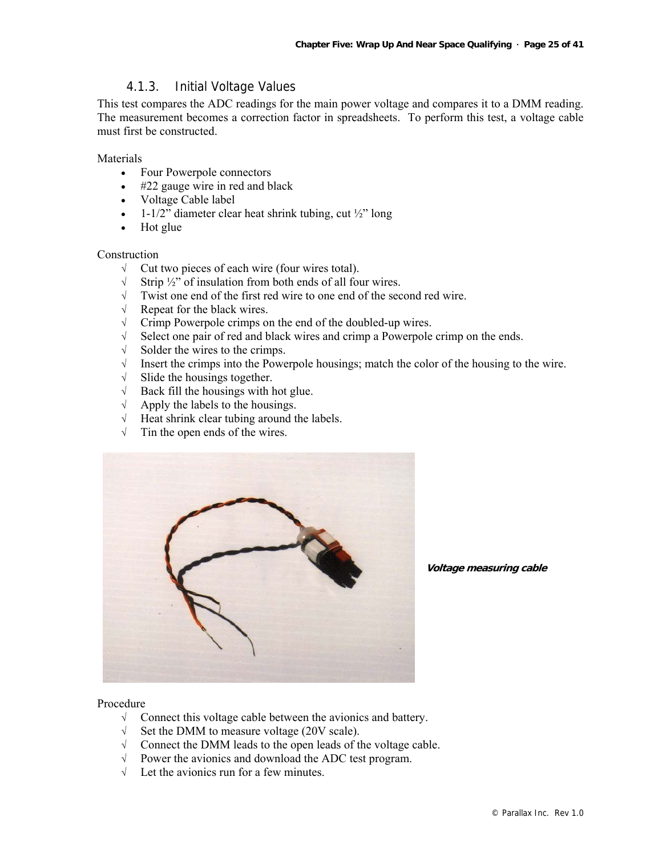#### 4.1.3. Initial Voltage Values

This test compares the ADC readings for the main power voltage and compares it to a DMM reading. The measurement becomes a correction factor in spreadsheets. To perform this test, a voltage cable must first be constructed.

**Materials** 

- Four Powerpole connectors
- #22 gauge wire in red and black
- Voltage Cable label
- 1-1/2" diameter clear heat shrink tubing, cut  $\frac{1}{2}$ " long
- Hot glue

#### **Construction**

- √ Cut two pieces of each wire (four wires total).
- √ Strip ½" of insulation from both ends of all four wires.
- √ Twist one end of the first red wire to one end of the second red wire.
- √ Repeat for the black wires.
- √ Crimp Powerpole crimps on the end of the doubled-up wires.
- √ Select one pair of red and black wires and crimp a Powerpole crimp on the ends.
- √ Solder the wires to the crimps.
- $\sqrt{\phantom{a}}$  Insert the crimps into the Powerpole housings; match the color of the housing to the wire.
- $\sqrt{\ }$  Slide the housings together.
- $\sqrt{\phantom{a}}$  Back fill the housings with hot glue.
- √ Apply the labels to the housings.
- √ Heat shrink clear tubing around the labels.
- $\sqrt{\phantom{a}}$  Tin the open ends of the wires.



**Voltage measuring cable** 

#### Procedure

- √ Connect this voltage cable between the avionics and battery.
- √ Set the DMM to measure voltage (20V scale).
- √ Connect the DMM leads to the open leads of the voltage cable.
- √ Power the avionics and download the ADC test program.
- $\sqrt{\phantom{a}}$  Let the avionics run for a few minutes.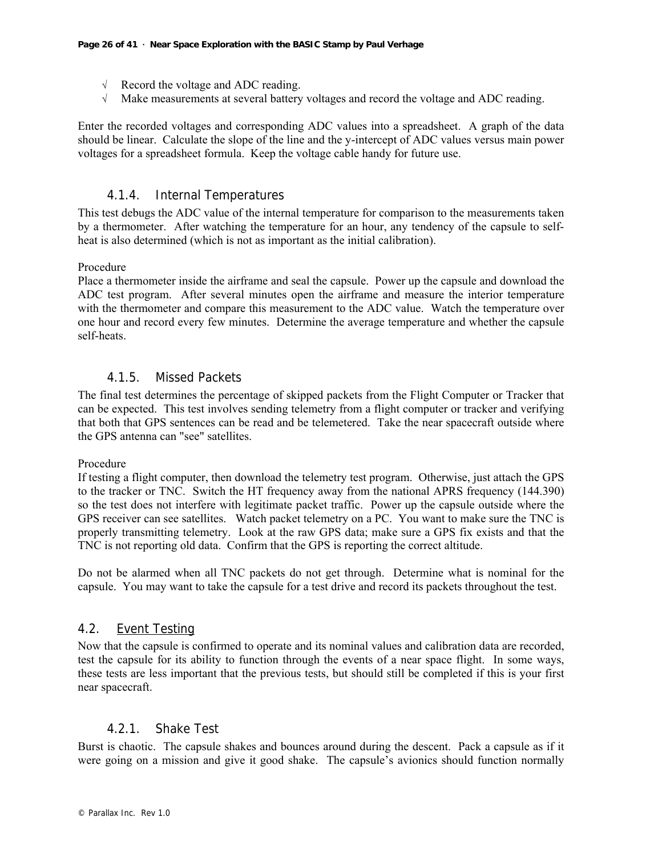- √ Record the voltage and ADC reading.
- √ Make measurements at several battery voltages and record the voltage and ADC reading.

Enter the recorded voltages and corresponding ADC values into a spreadsheet. A graph of the data should be linear. Calculate the slope of the line and the y-intercept of ADC values versus main power voltages for a spreadsheet formula. Keep the voltage cable handy for future use.

#### 4.1.4. Internal Temperatures

This test debugs the ADC value of the internal temperature for comparison to the measurements taken by a thermometer. After watching the temperature for an hour, any tendency of the capsule to selfheat is also determined (which is not as important as the initial calibration).

#### Procedure

Place a thermometer inside the airframe and seal the capsule. Power up the capsule and download the ADC test program. After several minutes open the airframe and measure the interior temperature with the thermometer and compare this measurement to the ADC value. Watch the temperature over one hour and record every few minutes. Determine the average temperature and whether the capsule self-heats.

#### 4.1.5. Missed Packets

The final test determines the percentage of skipped packets from the Flight Computer or Tracker that can be expected. This test involves sending telemetry from a flight computer or tracker and verifying that both that GPS sentences can be read and be telemetered. Take the near spacecraft outside where the GPS antenna can "see" satellites.

#### Procedure

If testing a flight computer, then download the telemetry test program. Otherwise, just attach the GPS to the tracker or TNC. Switch the HT frequency away from the national APRS frequency (144.390) so the test does not interfere with legitimate packet traffic. Power up the capsule outside where the GPS receiver can see satellites. Watch packet telemetry on a PC. You want to make sure the TNC is properly transmitting telemetry. Look at the raw GPS data; make sure a GPS fix exists and that the TNC is not reporting old data. Confirm that the GPS is reporting the correct altitude.

Do not be alarmed when all TNC packets do not get through. Determine what is nominal for the capsule. You may want to take the capsule for a test drive and record its packets throughout the test.

#### 4.2. Event Testing

Now that the capsule is confirmed to operate and its nominal values and calibration data are recorded, test the capsule for its ability to function through the events of a near space flight. In some ways, these tests are less important that the previous tests, but should still be completed if this is your first near spacecraft.

#### 4.2.1. Shake Test

Burst is chaotic. The capsule shakes and bounces around during the descent. Pack a capsule as if it were going on a mission and give it good shake. The capsule's avionics should function normally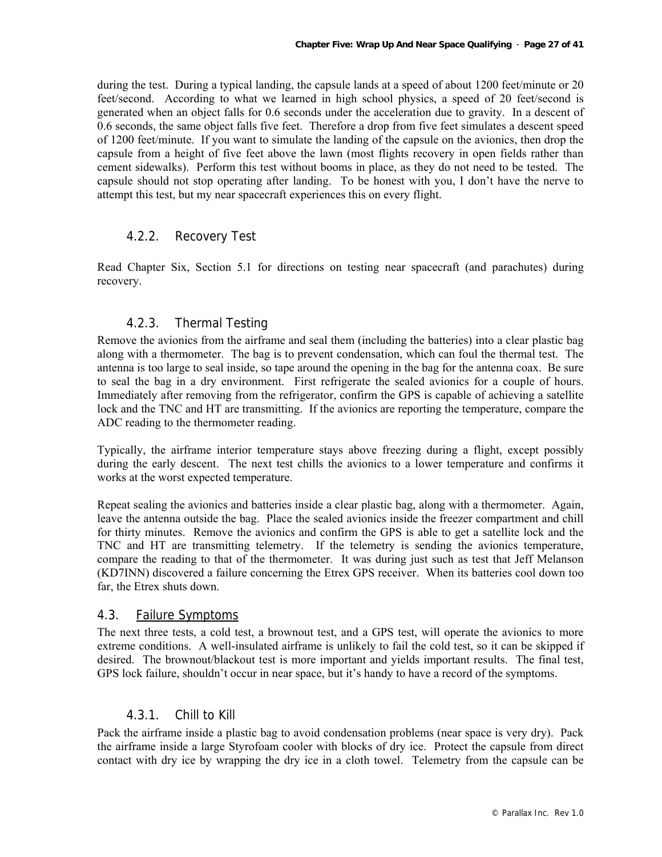during the test. During a typical landing, the capsule lands at a speed of about 1200 feet/minute or 20 feet/second. According to what we learned in high school physics, a speed of 20 feet/second is generated when an object falls for 0.6 seconds under the acceleration due to gravity. In a descent of 0.6 seconds, the same object falls five feet. Therefore a drop from five feet simulates a descent speed of 1200 feet/minute. If you want to simulate the landing of the capsule on the avionics, then drop the capsule from a height of five feet above the lawn (most flights recovery in open fields rather than cement sidewalks). Perform this test without booms in place, as they do not need to be tested. The capsule should not stop operating after landing. To be honest with you, I don't have the nerve to attempt this test, but my near spacecraft experiences this on every flight.

#### 4.2.2. Recovery Test

Read Chapter Six, Section 5.1 for directions on testing near spacecraft (and parachutes) during recovery.

#### 4.2.3. Thermal Testing

Remove the avionics from the airframe and seal them (including the batteries) into a clear plastic bag along with a thermometer. The bag is to prevent condensation, which can foul the thermal test. The antenna is too large to seal inside, so tape around the opening in the bag for the antenna coax. Be sure to seal the bag in a dry environment. First refrigerate the sealed avionics for a couple of hours. Immediately after removing from the refrigerator, confirm the GPS is capable of achieving a satellite lock and the TNC and HT are transmitting. If the avionics are reporting the temperature, compare the ADC reading to the thermometer reading.

Typically, the airframe interior temperature stays above freezing during a flight, except possibly during the early descent. The next test chills the avionics to a lower temperature and confirms it works at the worst expected temperature.

Repeat sealing the avionics and batteries inside a clear plastic bag, along with a thermometer. Again, leave the antenna outside the bag. Place the sealed avionics inside the freezer compartment and chill for thirty minutes. Remove the avionics and confirm the GPS is able to get a satellite lock and the TNC and HT are transmitting telemetry. If the telemetry is sending the avionics temperature, compare the reading to that of the thermometer. It was during just such as test that Jeff Melanson (KD7INN) discovered a failure concerning the Etrex GPS receiver. When its batteries cool down too far, the Etrex shuts down.

#### 4.3. Failure Symptoms

The next three tests, a cold test, a brownout test, and a GPS test, will operate the avionics to more extreme conditions. A well-insulated airframe is unlikely to fail the cold test, so it can be skipped if desired. The brownout/blackout test is more important and yields important results. The final test, GPS lock failure, shouldn't occur in near space, but it's handy to have a record of the symptoms.

#### 4.3.1. Chill to Kill

Pack the airframe inside a plastic bag to avoid condensation problems (near space is very dry). Pack the airframe inside a large Styrofoam cooler with blocks of dry ice. Protect the capsule from direct contact with dry ice by wrapping the dry ice in a cloth towel. Telemetry from the capsule can be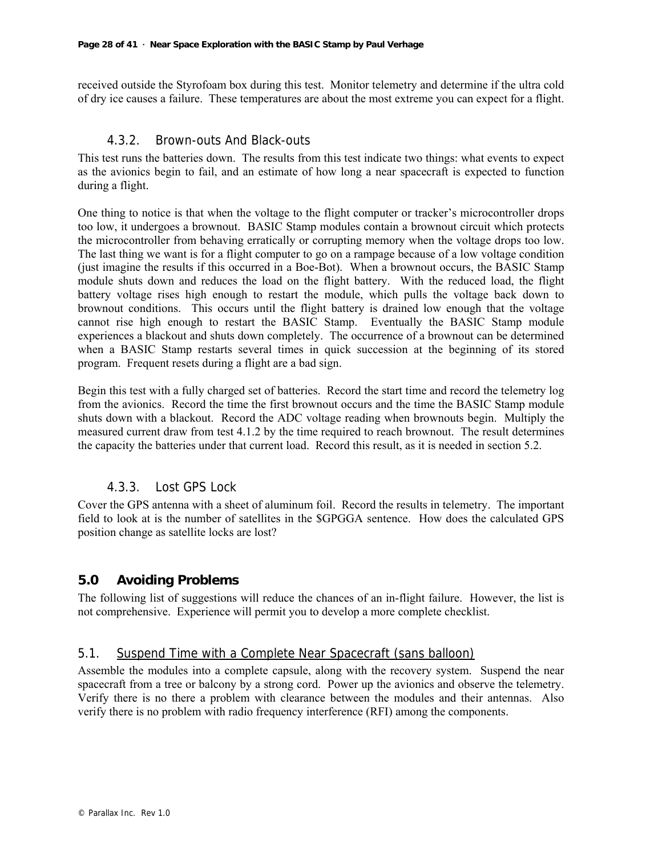received outside the Styrofoam box during this test. Monitor telemetry and determine if the ultra cold of dry ice causes a failure. These temperatures are about the most extreme you can expect for a flight.

#### 4.3.2. Brown-outs And Black-outs

This test runs the batteries down. The results from this test indicate two things: what events to expect as the avionics begin to fail, and an estimate of how long a near spacecraft is expected to function during a flight.

One thing to notice is that when the voltage to the flight computer or tracker's microcontroller drops too low, it undergoes a brownout. BASIC Stamp modules contain a brownout circuit which protects the microcontroller from behaving erratically or corrupting memory when the voltage drops too low. The last thing we want is for a flight computer to go on a rampage because of a low voltage condition (just imagine the results if this occurred in a Boe-Bot). When a brownout occurs, the BASIC Stamp module shuts down and reduces the load on the flight battery. With the reduced load, the flight battery voltage rises high enough to restart the module, which pulls the voltage back down to brownout conditions. This occurs until the flight battery is drained low enough that the voltage cannot rise high enough to restart the BASIC Stamp. Eventually the BASIC Stamp module experiences a blackout and shuts down completely. The occurrence of a brownout can be determined when a BASIC Stamp restarts several times in quick succession at the beginning of its stored program. Frequent resets during a flight are a bad sign.

Begin this test with a fully charged set of batteries. Record the start time and record the telemetry log from the avionics. Record the time the first brownout occurs and the time the BASIC Stamp module shuts down with a blackout. Record the ADC voltage reading when brownouts begin. Multiply the measured current draw from test 4.1.2 by the time required to reach brownout. The result determines the capacity the batteries under that current load. Record this result, as it is needed in section 5.2.

#### 4.3.3. Lost GPS Lock

Cover the GPS antenna with a sheet of aluminum foil. Record the results in telemetry. The important field to look at is the number of satellites in the \$GPGGA sentence. How does the calculated GPS position change as satellite locks are lost?

#### **5.0 Avoiding Problems**

The following list of suggestions will reduce the chances of an in-flight failure. However, the list is not comprehensive. Experience will permit you to develop a more complete checklist.

#### 5.1. Suspend Time with a Complete Near Spacecraft (sans balloon)

Assemble the modules into a complete capsule, along with the recovery system. Suspend the near spacecraft from a tree or balcony by a strong cord. Power up the avionics and observe the telemetry. Verify there is no there a problem with clearance between the modules and their antennas. Also verify there is no problem with radio frequency interference (RFI) among the components.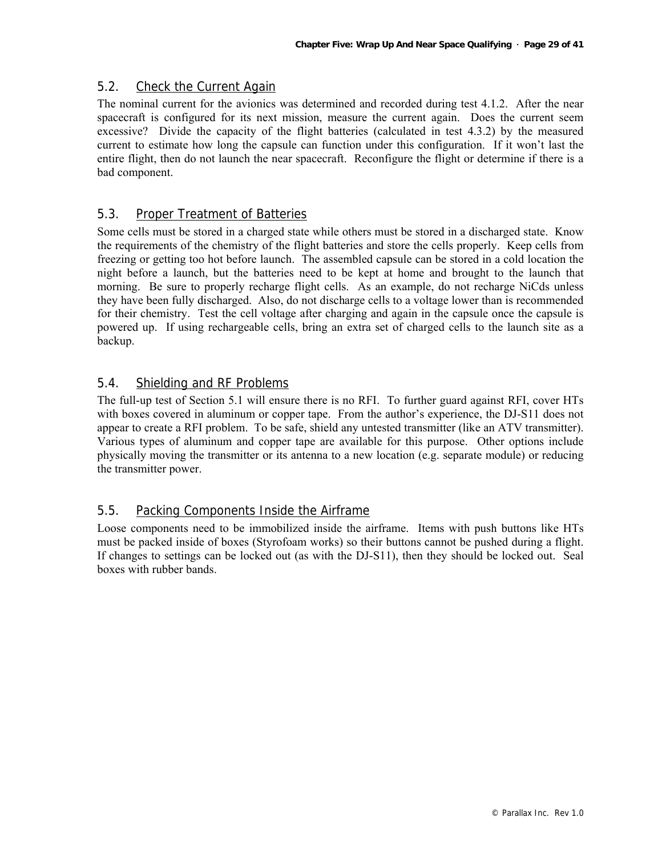#### 5.2. Check the Current Again

The nominal current for the avionics was determined and recorded during test 4.1.2. After the near spacecraft is configured for its next mission, measure the current again. Does the current seem excessive? Divide the capacity of the flight batteries (calculated in test 4.3.2) by the measured current to estimate how long the capsule can function under this configuration. If it won't last the entire flight, then do not launch the near spacecraft. Reconfigure the flight or determine if there is a bad component.

#### 5.3. Proper Treatment of Batteries

Some cells must be stored in a charged state while others must be stored in a discharged state. Know the requirements of the chemistry of the flight batteries and store the cells properly. Keep cells from freezing or getting too hot before launch. The assembled capsule can be stored in a cold location the night before a launch, but the batteries need to be kept at home and brought to the launch that morning. Be sure to properly recharge flight cells. As an example, do not recharge NiCds unless they have been fully discharged. Also, do not discharge cells to a voltage lower than is recommended for their chemistry. Test the cell voltage after charging and again in the capsule once the capsule is powered up. If using rechargeable cells, bring an extra set of charged cells to the launch site as a backup.

#### 5.4. Shielding and RF Problems

The full-up test of Section 5.1 will ensure there is no RFI. To further guard against RFI, cover HTs with boxes covered in aluminum or copper tape. From the author's experience, the DJ-S11 does not appear to create a RFI problem. To be safe, shield any untested transmitter (like an ATV transmitter). Various types of aluminum and copper tape are available for this purpose. Other options include physically moving the transmitter or its antenna to a new location (e.g. separate module) or reducing the transmitter power.

#### 5.5. Packing Components Inside the Airframe

Loose components need to be immobilized inside the airframe. Items with push buttons like HTs must be packed inside of boxes (Styrofoam works) so their buttons cannot be pushed during a flight. If changes to settings can be locked out (as with the DJ-S11), then they should be locked out. Seal boxes with rubber bands.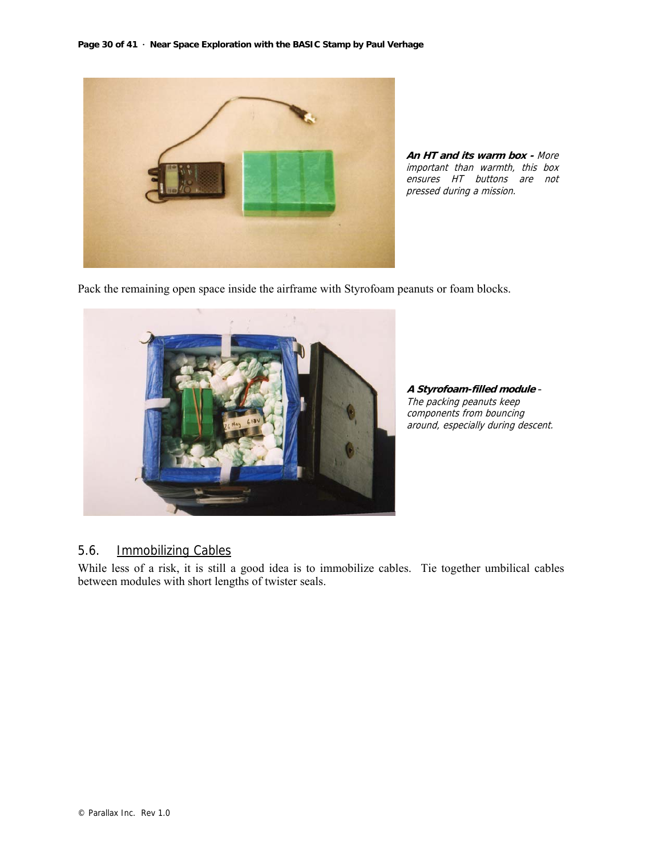

**An HT and its warm box -** More important than warmth, this box ensures HT buttons are not pressed during a mission.

Pack the remaining open space inside the airframe with Styrofoam peanuts or foam blocks.



**A Styrofoam-filled module** - The packing peanuts keep components from bouncing around, especially during descent.

### 5.6. Immobilizing Cables

While less of a risk, it is still a good idea is to immobilize cables. Tie together umbilical cables between modules with short lengths of twister seals.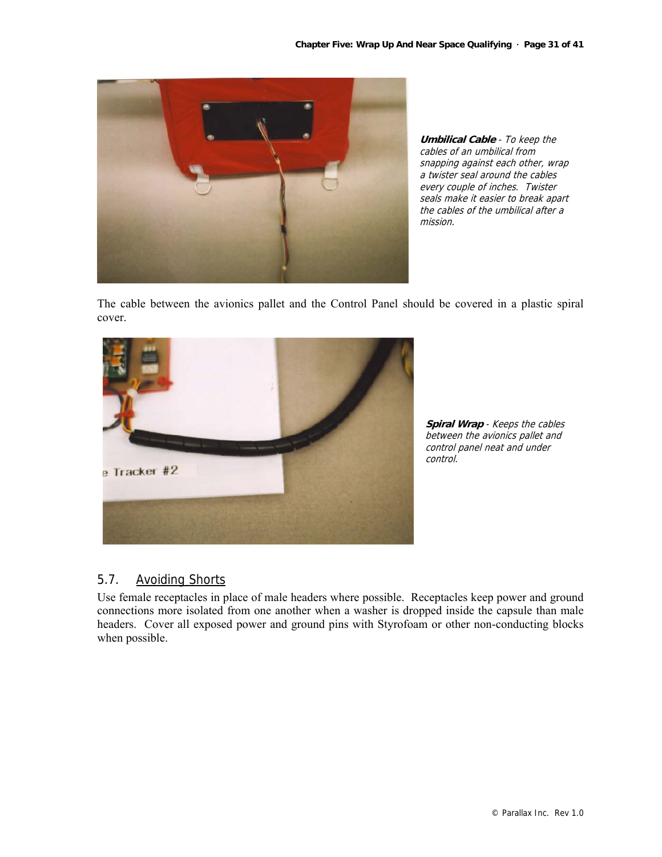

**Umbilical Cable** - To keep the cables of an umbilical from snapping against each other, wrap a twister seal around the cables every couple of inches. Twister seals make it easier to break apart the cables of the umbilical after a mission.

The cable between the avionics pallet and the Control Panel should be covered in a plastic spiral cover.



**Spiral Wrap** - Keeps the cables between the avionics pallet and control panel neat and under control.

#### 5.7. Avoiding Shorts

Use female receptacles in place of male headers where possible. Receptacles keep power and ground connections more isolated from one another when a washer is dropped inside the capsule than male headers. Cover all exposed power and ground pins with Styrofoam or other non-conducting blocks when possible.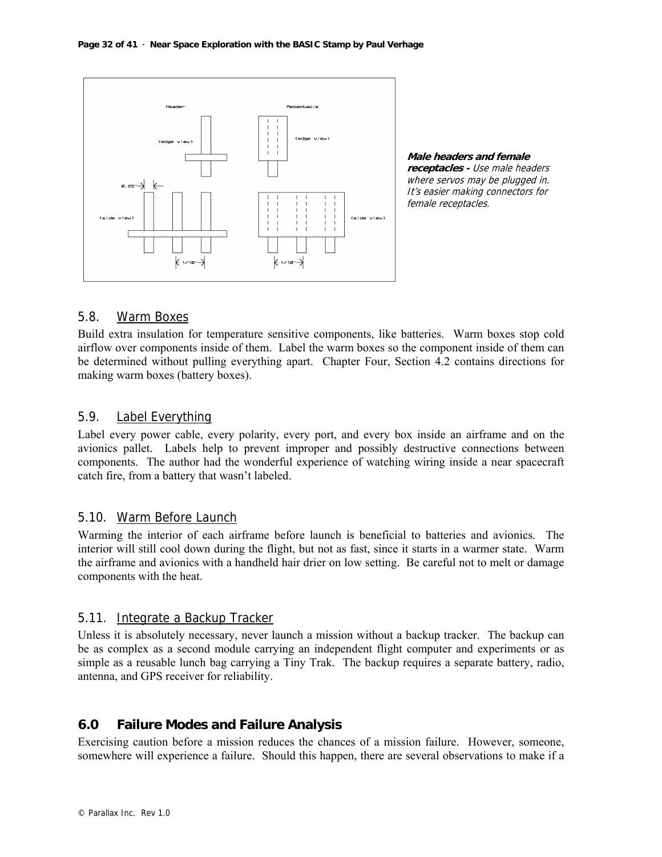

**Male headers and female receptacles -** Use male headers where servos may be plugged in. It's easier making connectors for female receptacles.

#### 5.8. Warm Boxes

Build extra insulation for temperature sensitive components, like batteries. Warm boxes stop cold airflow over components inside of them. Label the warm boxes so the component inside of them can be determined without pulling everything apart. Chapter Four, Section 4.2 contains directions for making warm boxes (battery boxes).

#### 5.9. Label Everything

Label every power cable, every polarity, every port, and every box inside an airframe and on the avionics pallet. Labels help to prevent improper and possibly destructive connections between components. The author had the wonderful experience of watching wiring inside a near spacecraft catch fire, from a battery that wasn't labeled.

#### 5.10. Warm Before Launch

Warming the interior of each airframe before launch is beneficial to batteries and avionics. The interior will still cool down during the flight, but not as fast, since it starts in a warmer state. Warm the airframe and avionics with a handheld hair drier on low setting. Be careful not to melt or damage components with the heat.

#### 5.11. Integrate a Backup Tracker

Unless it is absolutely necessary, never launch a mission without a backup tracker. The backup can be as complex as a second module carrying an independent flight computer and experiments or as simple as a reusable lunch bag carrying a Tiny Trak. The backup requires a separate battery, radio, antenna, and GPS receiver for reliability.

#### **6.0 Failure Modes and Failure Analysis**

Exercising caution before a mission reduces the chances of a mission failure. However, someone, somewhere will experience a failure. Should this happen, there are several observations to make if a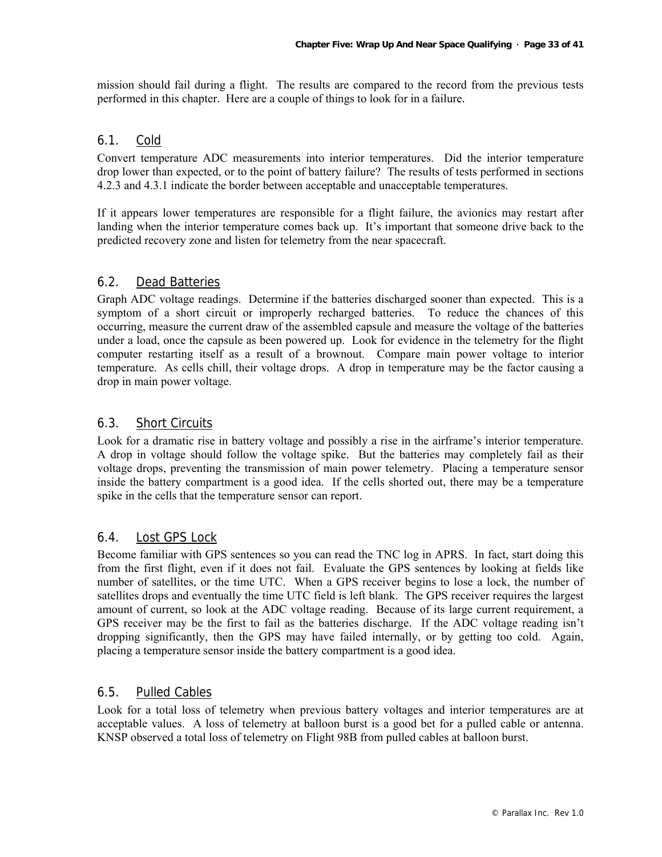mission should fail during a flight. The results are compared to the record from the previous tests performed in this chapter. Here are a couple of things to look for in a failure.

#### 6.1. Cold

Convert temperature ADC measurements into interior temperatures. Did the interior temperature drop lower than expected, or to the point of battery failure? The results of tests performed in sections 4.2.3 and 4.3.1 indicate the border between acceptable and unacceptable temperatures.

If it appears lower temperatures are responsible for a flight failure, the avionics may restart after landing when the interior temperature comes back up. It's important that someone drive back to the predicted recovery zone and listen for telemetry from the near spacecraft.

#### 6.2. Dead Batteries

Graph ADC voltage readings. Determine if the batteries discharged sooner than expected. This is a symptom of a short circuit or improperly recharged batteries. To reduce the chances of this occurring, measure the current draw of the assembled capsule and measure the voltage of the batteries under a load, once the capsule as been powered up. Look for evidence in the telemetry for the flight computer restarting itself as a result of a brownout. Compare main power voltage to interior temperature. As cells chill, their voltage drops. A drop in temperature may be the factor causing a drop in main power voltage.

#### 6.3. Short Circuits

Look for a dramatic rise in battery voltage and possibly a rise in the airframe's interior temperature. A drop in voltage should follow the voltage spike. But the batteries may completely fail as their voltage drops, preventing the transmission of main power telemetry. Placing a temperature sensor inside the battery compartment is a good idea. If the cells shorted out, there may be a temperature spike in the cells that the temperature sensor can report.

#### 6.4. Lost GPS Lock

Become familiar with GPS sentences so you can read the TNC log in APRS. In fact, start doing this from the first flight, even if it does not fail. Evaluate the GPS sentences by looking at fields like number of satellites, or the time UTC. When a GPS receiver begins to lose a lock, the number of satellites drops and eventually the time UTC field is left blank. The GPS receiver requires the largest amount of current, so look at the ADC voltage reading. Because of its large current requirement, a GPS receiver may be the first to fail as the batteries discharge. If the ADC voltage reading isn't dropping significantly, then the GPS may have failed internally, or by getting too cold. Again, placing a temperature sensor inside the battery compartment is a good idea.

#### 6.5. Pulled Cables

Look for a total loss of telemetry when previous battery voltages and interior temperatures are at acceptable values. A loss of telemetry at balloon burst is a good bet for a pulled cable or antenna. KNSP observed a total loss of telemetry on Flight 98B from pulled cables at balloon burst.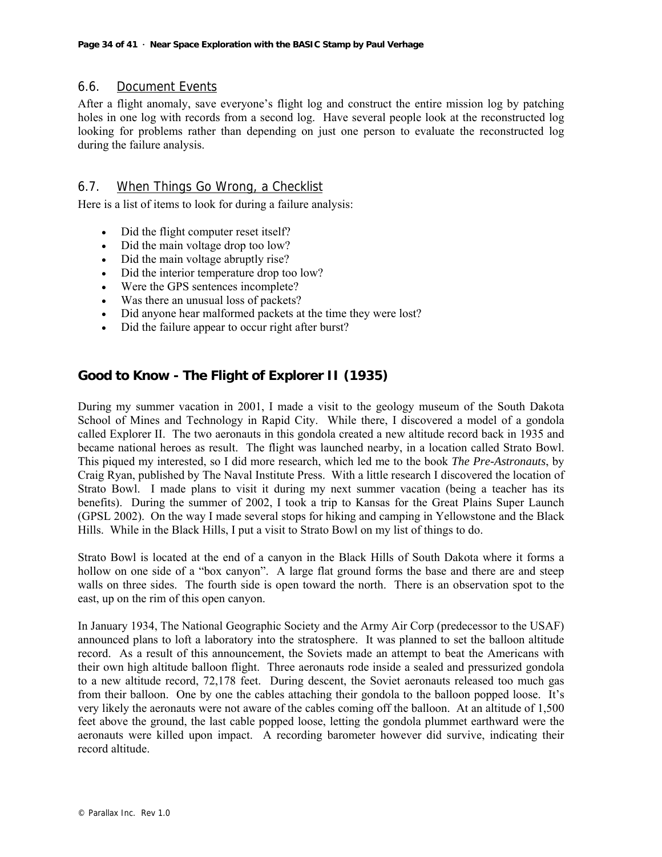#### 6.6. Document Events

After a flight anomaly, save everyone's flight log and construct the entire mission log by patching holes in one log with records from a second log. Have several people look at the reconstructed log looking for problems rather than depending on just one person to evaluate the reconstructed log during the failure analysis.

#### 6.7. When Things Go Wrong, a Checklist

Here is a list of items to look for during a failure analysis:

- Did the flight computer reset itself?
- Did the main voltage drop too low?
- Did the main voltage abruptly rise?
- Did the interior temperature drop too low?
- Were the GPS sentences incomplete?
- Was there an unusual loss of packets?
- Did anyone hear malformed packets at the time they were lost?
- Did the failure appear to occur right after burst?

#### **Good to Know - The Flight of Explorer II (1935)**

During my summer vacation in 2001, I made a visit to the geology museum of the South Dakota School of Mines and Technology in Rapid City. While there, I discovered a model of a gondola called Explorer II. The two aeronauts in this gondola created a new altitude record back in 1935 and became national heroes as result. The flight was launched nearby, in a location called Strato Bowl. This piqued my interested, so I did more research, which led me to the book *The Pre-Astronauts*, by Craig Ryan, published by The Naval Institute Press. With a little research I discovered the location of Strato Bowl. I made plans to visit it during my next summer vacation (being a teacher has its benefits). During the summer of 2002, I took a trip to Kansas for the Great Plains Super Launch (GPSL 2002). On the way I made several stops for hiking and camping in Yellowstone and the Black Hills. While in the Black Hills, I put a visit to Strato Bowl on my list of things to do.

Strato Bowl is located at the end of a canyon in the Black Hills of South Dakota where it forms a hollow on one side of a "box canyon". A large flat ground forms the base and there are and steep walls on three sides. The fourth side is open toward the north. There is an observation spot to the east, up on the rim of this open canyon.

In January 1934, The National Geographic Society and the Army Air Corp (predecessor to the USAF) announced plans to loft a laboratory into the stratosphere. It was planned to set the balloon altitude record. As a result of this announcement, the Soviets made an attempt to beat the Americans with their own high altitude balloon flight. Three aeronauts rode inside a sealed and pressurized gondola to a new altitude record, 72,178 feet. During descent, the Soviet aeronauts released too much gas from their balloon. One by one the cables attaching their gondola to the balloon popped loose. It's very likely the aeronauts were not aware of the cables coming off the balloon. At an altitude of 1,500 feet above the ground, the last cable popped loose, letting the gondola plummet earthward were the aeronauts were killed upon impact. A recording barometer however did survive, indicating their record altitude.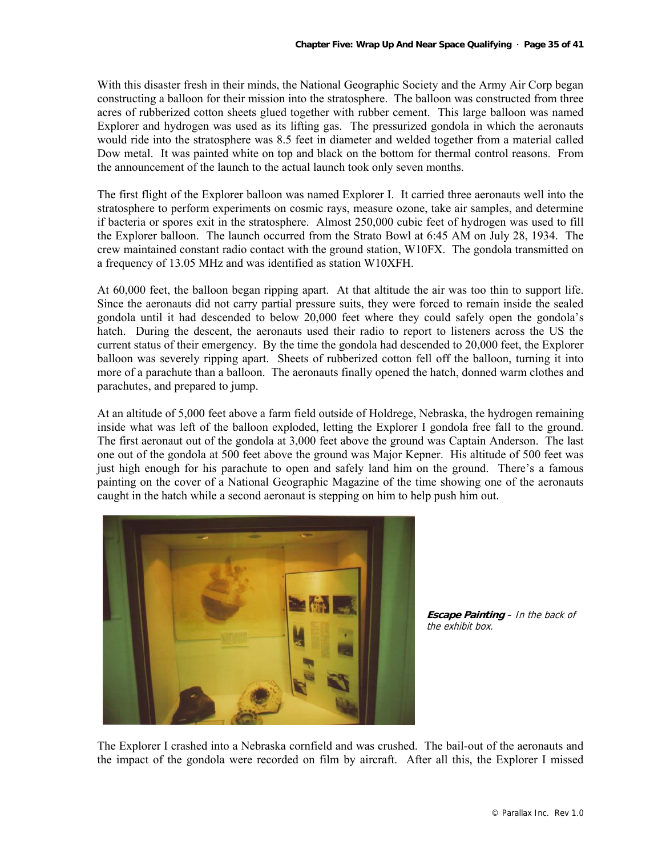With this disaster fresh in their minds, the National Geographic Society and the Army Air Corp began constructing a balloon for their mission into the stratosphere. The balloon was constructed from three acres of rubberized cotton sheets glued together with rubber cement. This large balloon was named Explorer and hydrogen was used as its lifting gas. The pressurized gondola in which the aeronauts would ride into the stratosphere was 8.5 feet in diameter and welded together from a material called Dow metal. It was painted white on top and black on the bottom for thermal control reasons. From the announcement of the launch to the actual launch took only seven months.

The first flight of the Explorer balloon was named Explorer I. It carried three aeronauts well into the stratosphere to perform experiments on cosmic rays, measure ozone, take air samples, and determine if bacteria or spores exit in the stratosphere. Almost 250,000 cubic feet of hydrogen was used to fill the Explorer balloon. The launch occurred from the Strato Bowl at 6:45 AM on July 28, 1934. The crew maintained constant radio contact with the ground station, W10FX. The gondola transmitted on a frequency of 13.05 MHz and was identified as station W10XFH.

At 60,000 feet, the balloon began ripping apart. At that altitude the air was too thin to support life. Since the aeronauts did not carry partial pressure suits, they were forced to remain inside the sealed gondola until it had descended to below 20,000 feet where they could safely open the gondola's hatch. During the descent, the aeronauts used their radio to report to listeners across the US the current status of their emergency. By the time the gondola had descended to 20,000 feet, the Explorer balloon was severely ripping apart. Sheets of rubberized cotton fell off the balloon, turning it into more of a parachute than a balloon. The aeronauts finally opened the hatch, donned warm clothes and parachutes, and prepared to jump.

At an altitude of 5,000 feet above a farm field outside of Holdrege, Nebraska, the hydrogen remaining inside what was left of the balloon exploded, letting the Explorer I gondola free fall to the ground. The first aeronaut out of the gondola at 3,000 feet above the ground was Captain Anderson. The last one out of the gondola at 500 feet above the ground was Major Kepner. His altitude of 500 feet was just high enough for his parachute to open and safely land him on the ground. There's a famous painting on the cover of a National Geographic Magazine of the time showing one of the aeronauts caught in the hatch while a second aeronaut is stepping on him to help push him out.



**Escape Painting** – In the back of the exhibit box.

The Explorer I crashed into a Nebraska cornfield and was crushed. The bail-out of the aeronauts and the impact of the gondola were recorded on film by aircraft. After all this, the Explorer I missed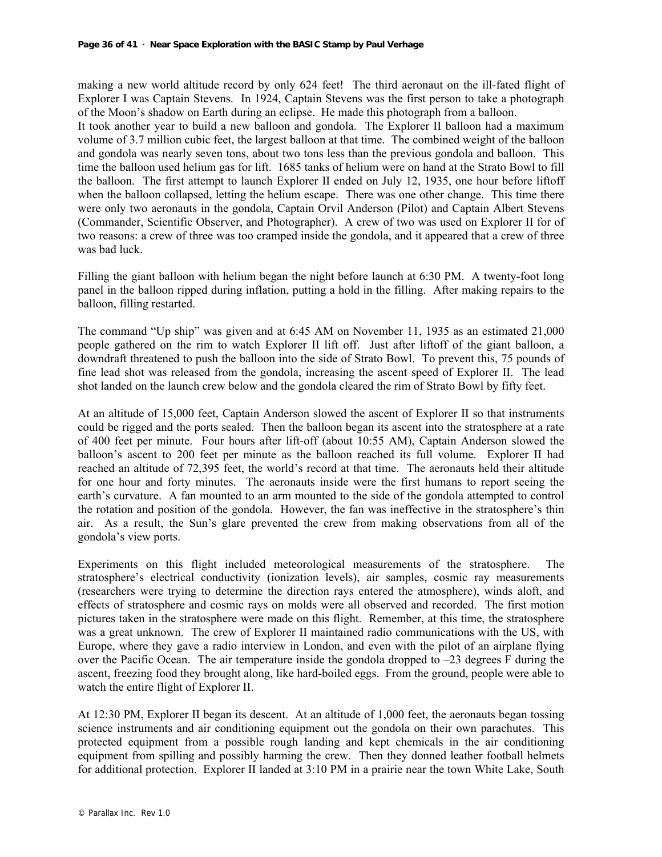making a new world altitude record by only 624 feet! The third aeronaut on the ill-fated flight of Explorer I was Captain Stevens. In 1924, Captain Stevens was the first person to take a photograph of the Moon's shadow on Earth during an eclipse. He made this photograph from a balloon.

It took another year to build a new balloon and gondola. The Explorer II balloon had a maximum volume of 3.7 million cubic feet, the largest balloon at that time. The combined weight of the balloon and gondola was nearly seven tons, about two tons less than the previous gondola and balloon. This time the balloon used helium gas for lift. 1685 tanks of helium were on hand at the Strato Bowl to fill the balloon. The first attempt to launch Explorer II ended on July 12, 1935, one hour before liftoff when the balloon collapsed, letting the helium escape. There was one other change. This time there were only two aeronauts in the gondola, Captain Orvil Anderson (Pilot) and Captain Albert Stevens (Commander, Scientific Observer, and Photographer). A crew of two was used on Explorer II for of two reasons: a crew of three was too cramped inside the gondola, and it appeared that a crew of three was bad luck.

Filling the giant balloon with helium began the night before launch at 6:30 PM. A twenty-foot long panel in the balloon ripped during inflation, putting a hold in the filling. After making repairs to the balloon, filling restarted.

The command "Up ship" was given and at 6:45 AM on November 11, 1935 as an estimated 21,000 people gathered on the rim to watch Explorer II lift off. Just after liftoff of the giant balloon, a downdraft threatened to push the balloon into the side of Strato Bowl. To prevent this, 75 pounds of fine lead shot was released from the gondola, increasing the ascent speed of Explorer II. The lead shot landed on the launch crew below and the gondola cleared the rim of Strato Bowl by fifty feet.

At an altitude of 15,000 feet, Captain Anderson slowed the ascent of Explorer II so that instruments could be rigged and the ports sealed. Then the balloon began its ascent into the stratosphere at a rate of 400 feet per minute. Four hours after lift-off (about 10:55 AM), Captain Anderson slowed the balloon's ascent to 200 feet per minute as the balloon reached its full volume. Explorer II had reached an altitude of 72,395 feet, the world's record at that time. The aeronauts held their altitude for one hour and forty minutes. The aeronauts inside were the first humans to report seeing the earth's curvature. A fan mounted to an arm mounted to the side of the gondola attempted to control the rotation and position of the gondola. However, the fan was ineffective in the stratosphere's thin air. As a result, the Sun's glare prevented the crew from making observations from all of the gondola's view ports.

Experiments on this flight included meteorological measurements of the stratosphere. The stratosphere's electrical conductivity (ionization levels), air samples, cosmic ray measurements (researchers were trying to determine the direction rays entered the atmosphere), winds aloft, and effects of stratosphere and cosmic rays on molds were all observed and recorded. The first motion pictures taken in the stratosphere were made on this flight. Remember, at this time, the stratosphere was a great unknown. The crew of Explorer II maintained radio communications with the US, with Europe, where they gave a radio interview in London, and even with the pilot of an airplane flying over the Pacific Ocean. The air temperature inside the gondola dropped to –23 degrees F during the ascent, freezing food they brought along, like hard-boiled eggs. From the ground, people were able to watch the entire flight of Explorer II.

At 12:30 PM, Explorer II began its descent. At an altitude of 1,000 feet, the aeronauts began tossing science instruments and air conditioning equipment out the gondola on their own parachutes. This protected equipment from a possible rough landing and kept chemicals in the air conditioning equipment from spilling and possibly harming the crew. Then they donned leather football helmets for additional protection. Explorer II landed at 3:10 PM in a prairie near the town White Lake, South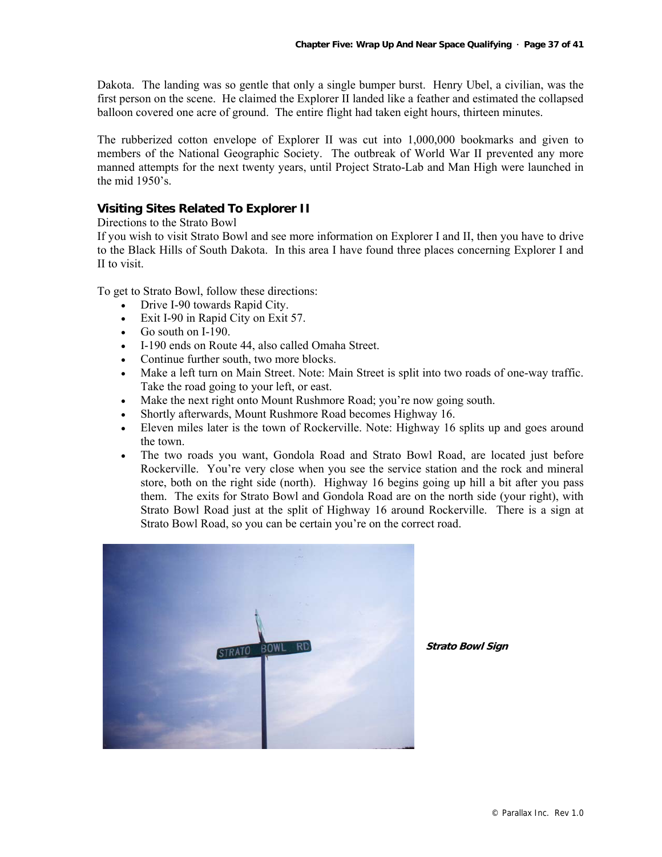Dakota. The landing was so gentle that only a single bumper burst. Henry Ubel, a civilian, was the first person on the scene. He claimed the Explorer II landed like a feather and estimated the collapsed balloon covered one acre of ground. The entire flight had taken eight hours, thirteen minutes.

The rubberized cotton envelope of Explorer II was cut into 1,000,000 bookmarks and given to members of the National Geographic Society. The outbreak of World War II prevented any more manned attempts for the next twenty years, until Project Strato-Lab and Man High were launched in the mid 1950's.

#### **Visiting Sites Related To Explorer II**

#### Directions to the Strato Bowl

If you wish to visit Strato Bowl and see more information on Explorer I and II, then you have to drive to the Black Hills of South Dakota. In this area I have found three places concerning Explorer I and II to visit.

To get to Strato Bowl, follow these directions:

- Drive I-90 towards Rapid City.
- Exit I-90 in Rapid City on Exit 57.
- Go south on I-190.
- I-190 ends on Route 44, also called Omaha Street.
- Continue further south, two more blocks.
- Make a left turn on Main Street. Note: Main Street is split into two roads of one-way traffic. Take the road going to your left, or east.
- Make the next right onto Mount Rushmore Road; you're now going south.
- Shortly afterwards, Mount Rushmore Road becomes Highway 16.
- Eleven miles later is the town of Rockerville. Note: Highway 16 splits up and goes around the town.
- The two roads you want, Gondola Road and Strato Bowl Road, are located just before Rockerville. You're very close when you see the service station and the rock and mineral store, both on the right side (north). Highway 16 begins going up hill a bit after you pass them. The exits for Strato Bowl and Gondola Road are on the north side (your right), with Strato Bowl Road just at the split of Highway 16 around Rockerville. There is a sign at Strato Bowl Road, so you can be certain you're on the correct road.



**Strato Bowl Sign**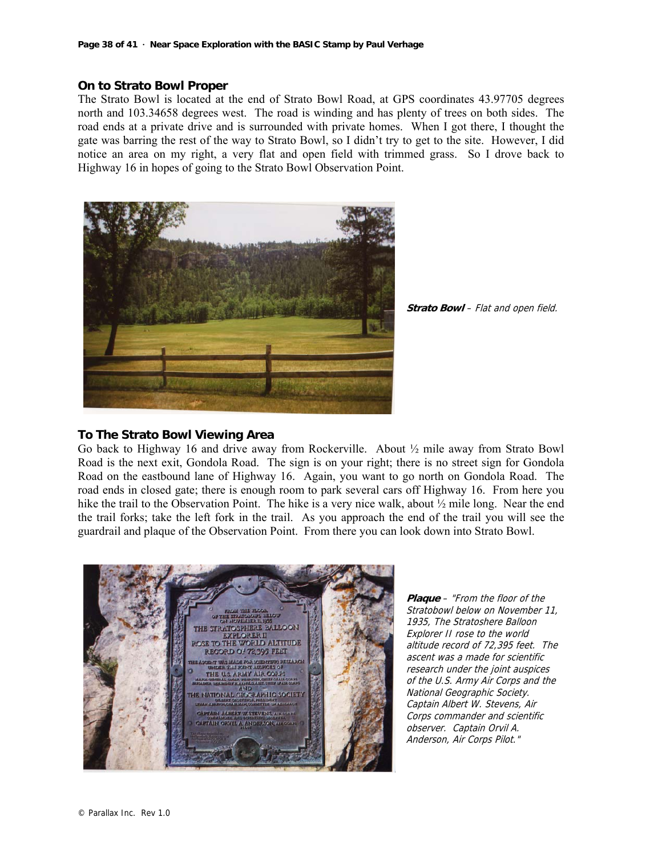#### **On to Strato Bowl Proper**

The Strato Bowl is located at the end of Strato Bowl Road, at GPS coordinates 43.97705 degrees north and 103.34658 degrees west. The road is winding and has plenty of trees on both sides. The road ends at a private drive and is surrounded with private homes. When I got there, I thought the gate was barring the rest of the way to Strato Bowl, so I didn't try to get to the site. However, I did notice an area on my right, a very flat and open field with trimmed grass. So I drove back to Highway 16 in hopes of going to the Strato Bowl Observation Point.



**Strato Bowl** – Flat and open field.

#### **To The Strato Bowl Viewing Area**

Go back to Highway 16 and drive away from Rockerville. About ½ mile away from Strato Bowl Road is the next exit, Gondola Road. The sign is on your right; there is no street sign for Gondola Road on the eastbound lane of Highway 16. Again, you want to go north on Gondola Road. The road ends in closed gate; there is enough room to park several cars off Highway 16. From here you hike the trail to the Observation Point. The hike is a very nice walk, about  $\frac{1}{2}$  mile long. Near the end the trail forks; take the left fork in the trail. As you approach the end of the trail you will see the guardrail and plaque of the Observation Point. From there you can look down into Strato Bowl.



**Plaque** – "From the floor of the Stratobowl below on November 11, 1935, The Stratoshere Balloon Explorer II rose to the world altitude record of 72,395 feet. The ascent was a made for scientific research under the joint auspices of the U.S. Army Air Corps and the National Geographic Society. Captain Albert W. Stevens, Air Corps commander and scientific observer. Captain Orvil A. Anderson, Air Corps Pilot."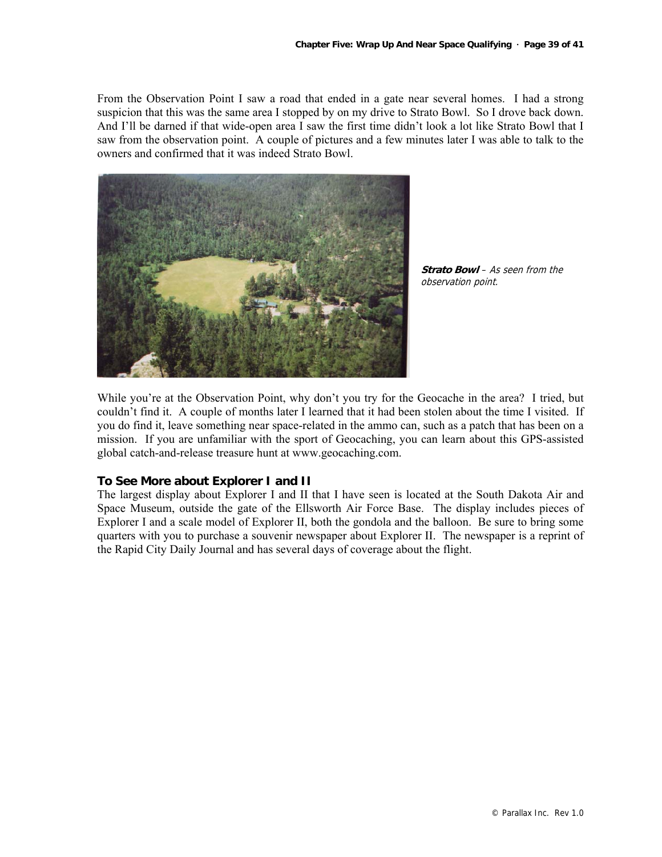From the Observation Point I saw a road that ended in a gate near several homes. I had a strong suspicion that this was the same area I stopped by on my drive to Strato Bowl. So I drove back down. And I'll be darned if that wide-open area I saw the first time didn't look a lot like Strato Bowl that I saw from the observation point. A couple of pictures and a few minutes later I was able to talk to the owners and confirmed that it was indeed Strato Bowl.



**Strato Bowl** – As seen from the observation point.

While you're at the Observation Point, why don't you try for the Geocache in the area? I tried, but couldn't find it. A couple of months later I learned that it had been stolen about the time I visited. If you do find it, leave something near space-related in the ammo can, such as a patch that has been on a mission. If you are unfamiliar with the sport of Geocaching, you can learn about this GPS-assisted global catch-and-release treasure hunt at www.geocaching.com.

#### **To See More about Explorer I and II**

The largest display about Explorer I and II that I have seen is located at the South Dakota Air and Space Museum, outside the gate of the Ellsworth Air Force Base. The display includes pieces of Explorer I and a scale model of Explorer II, both the gondola and the balloon. Be sure to bring some quarters with you to purchase a souvenir newspaper about Explorer II. The newspaper is a reprint of the Rapid City Daily Journal and has several days of coverage about the flight.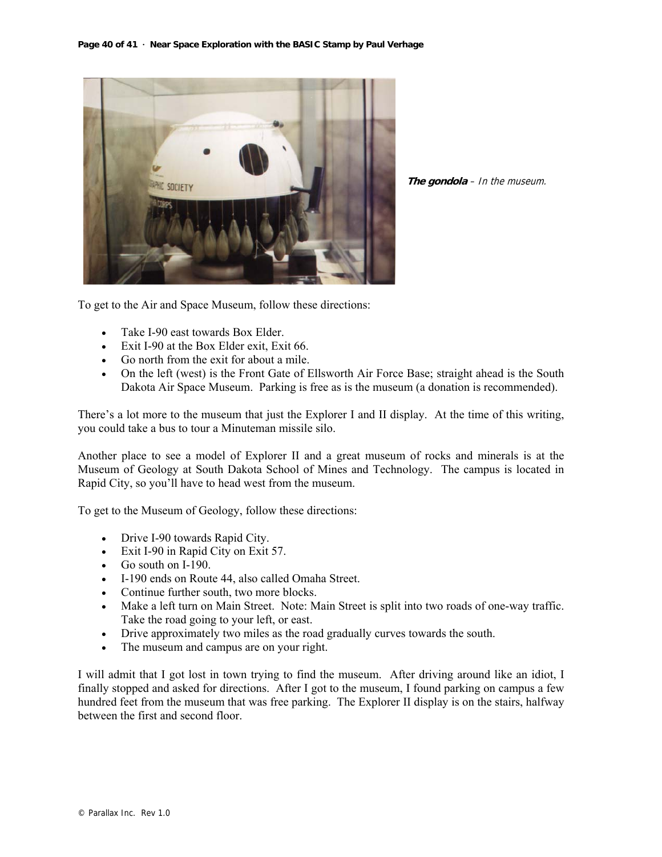

**The gondola** – In the museum.

To get to the Air and Space Museum, follow these directions:

- Take I-90 east towards Box Elder.
- Exit I-90 at the Box Elder exit, Exit 66.
- Go north from the exit for about a mile.
- On the left (west) is the Front Gate of Ellsworth Air Force Base; straight ahead is the South Dakota Air Space Museum. Parking is free as is the museum (a donation is recommended).

There's a lot more to the museum that just the Explorer I and II display. At the time of this writing, you could take a bus to tour a Minuteman missile silo.

Another place to see a model of Explorer II and a great museum of rocks and minerals is at the Museum of Geology at South Dakota School of Mines and Technology. The campus is located in Rapid City, so you'll have to head west from the museum.

To get to the Museum of Geology, follow these directions:

- Drive I-90 towards Rapid City.
- Exit I-90 in Rapid City on Exit 57.
- Go south on I-190.
- I-190 ends on Route 44, also called Omaha Street.
- Continue further south, two more blocks.
- Make a left turn on Main Street. Note: Main Street is split into two roads of one-way traffic. Take the road going to your left, or east.
- Drive approximately two miles as the road gradually curves towards the south.
- The museum and campus are on your right.

I will admit that I got lost in town trying to find the museum. After driving around like an idiot, I finally stopped and asked for directions. After I got to the museum, I found parking on campus a few hundred feet from the museum that was free parking. The Explorer II display is on the stairs, halfway between the first and second floor.